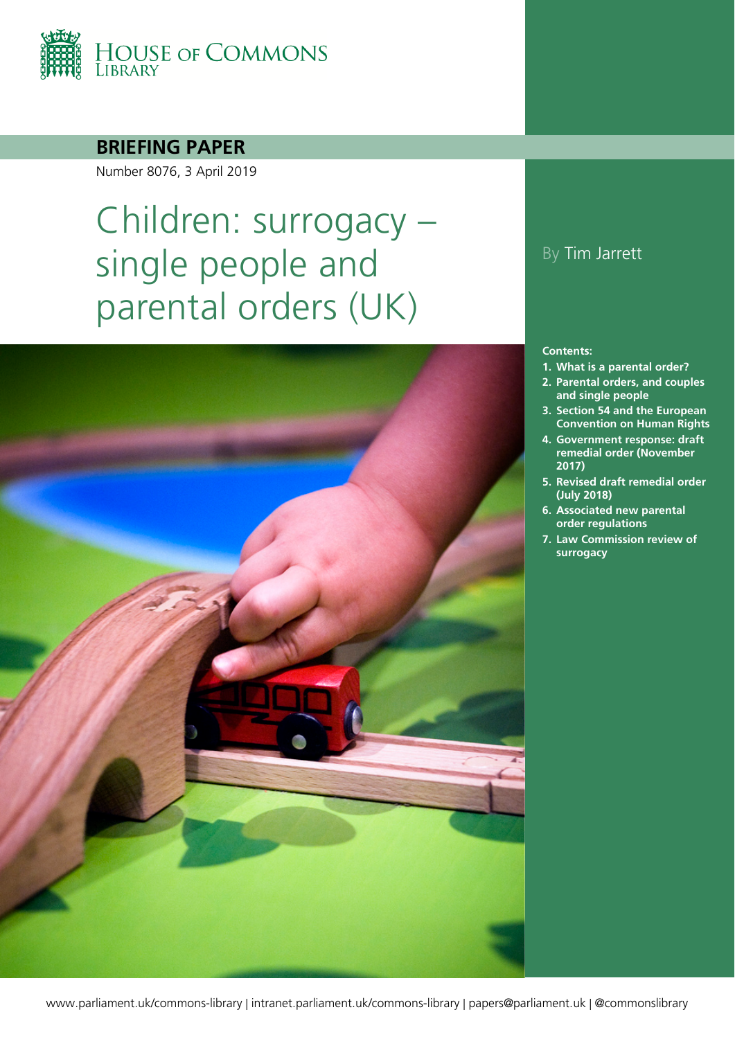

#### **BRIEFING PAPER**

Number 8076, 3 April 2019

# Children: surrogacy – single people and parental orders (UK)



### By Tim Jarrett

#### **Contents:**

- **1. [What is a parental order?](#page-3-0)**
- **2. [Parental orders, and couples](#page-4-0)  [and single people](#page-4-0)**
- **3. [Section 54 and the European](#page-6-0)  [Convention on Human Rights](#page-6-0)**
- **4. [Government response: draft](#page-9-0)  [remedial order \(November](#page-9-0)  [2017\)](#page-9-0)**
- **5. [Revised draft remedial order](#page-15-0)  [\(July 2018\)](#page-15-0)**
- **6. [Associated new parental](#page-19-0)  [order regulations](#page-19-0)**
- **7. [Law Commission review of](#page-23-0)  [surrogacy](#page-23-0)**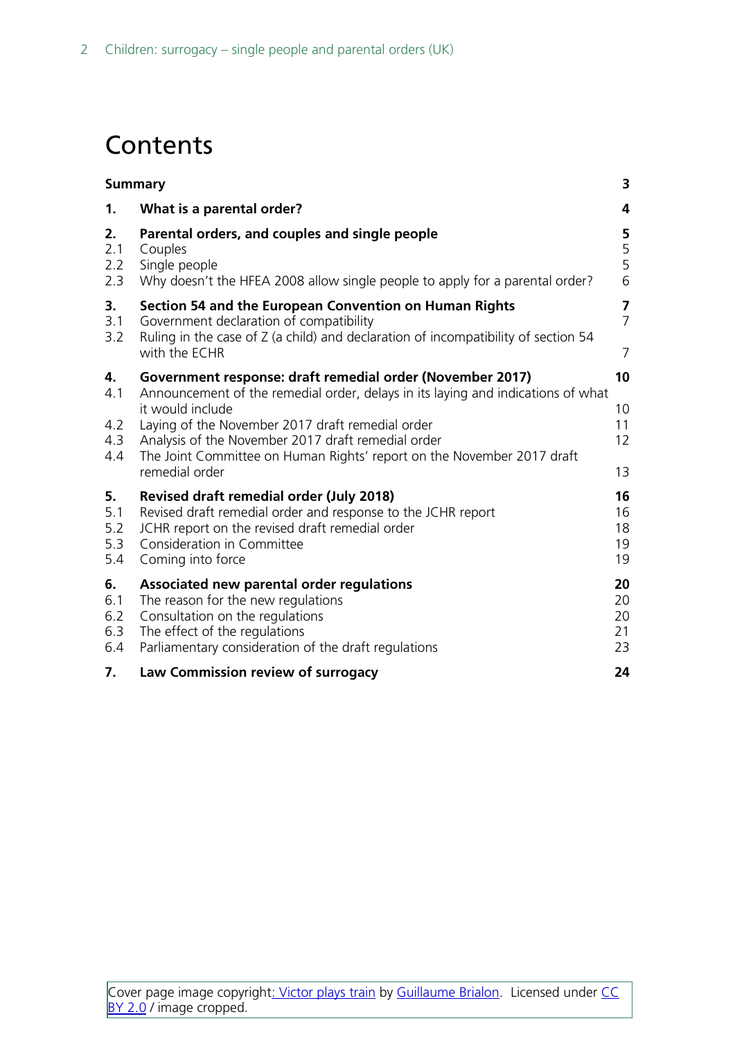## **Contents**

| 3<br><b>Summary</b>            |                                                                                                                                                                                                                                                                                                                                                                         |                            |  |
|--------------------------------|-------------------------------------------------------------------------------------------------------------------------------------------------------------------------------------------------------------------------------------------------------------------------------------------------------------------------------------------------------------------------|----------------------------|--|
| 1.                             | What is a parental order?                                                                                                                                                                                                                                                                                                                                               | 4                          |  |
| 2.<br>2.1<br>2.2<br>2.3        | Parental orders, and couples and single people<br>Couples<br>Single people<br>Why doesn't the HFEA 2008 allow single people to apply for a parental order?                                                                                                                                                                                                              | 5<br>$\frac{5}{5}$<br>6    |  |
| 3.<br>3.1<br>3.2               | Section 54 and the European Convention on Human Rights<br>Government declaration of compatibility<br>Ruling in the case of Z (a child) and declaration of incompatibility of section 54<br>with the ECHR                                                                                                                                                                |                            |  |
| 4.<br>4.1<br>4.2<br>4.3<br>4.4 | Government response: draft remedial order (November 2017)<br>Announcement of the remedial order, delays in its laying and indications of what<br>it would include<br>Laying of the November 2017 draft remedial order<br>Analysis of the November 2017 draft remedial order<br>The Joint Committee on Human Rights' report on the November 2017 draft<br>remedial order | 10<br>10<br>11<br>12<br>13 |  |
| 5.<br>5.1<br>5.2<br>5.3<br>5.4 | Revised draft remedial order (July 2018)<br>Revised draft remedial order and response to the JCHR report<br>JCHR report on the revised draft remedial order<br>Consideration in Committee<br>Coming into force                                                                                                                                                          | 16<br>16<br>18<br>19<br>19 |  |
| 6.<br>6.1<br>6.2<br>6.3<br>6.4 | Associated new parental order regulations<br>The reason for the new regulations<br>Consultation on the regulations<br>The effect of the regulations<br>Parliamentary consideration of the draft regulations                                                                                                                                                             | 20<br>20<br>20<br>21<br>23 |  |
| 7.                             | Law Commission review of surrogacy                                                                                                                                                                                                                                                                                                                                      | 24                         |  |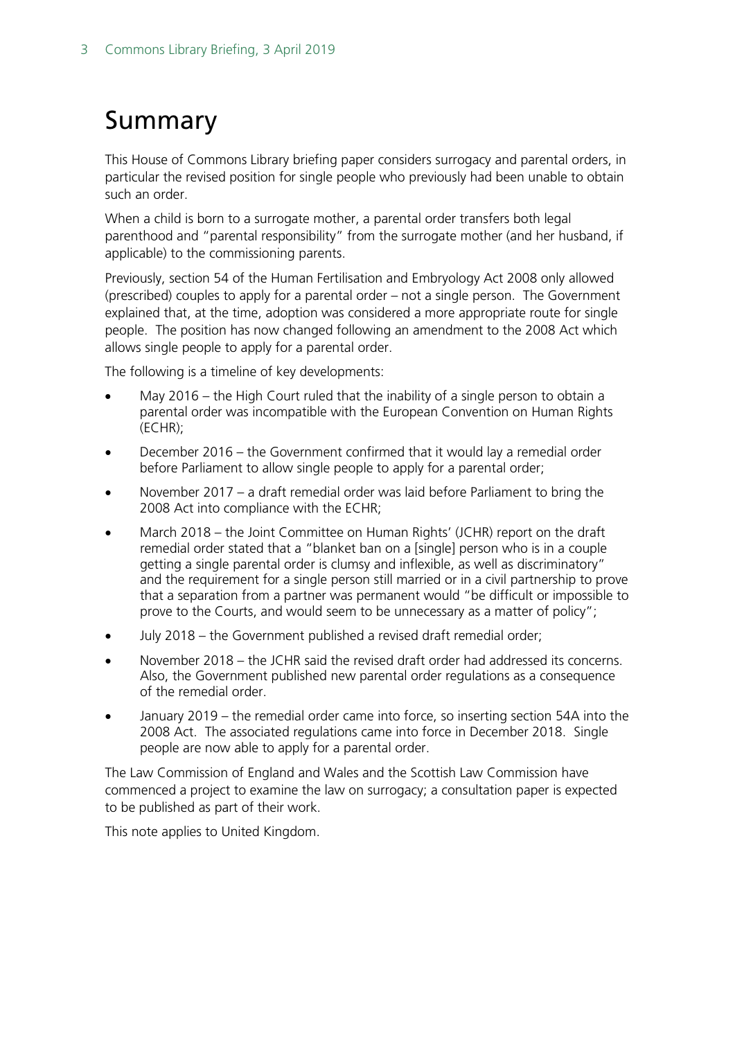## <span id="page-2-0"></span>Summary

This House of Commons Library briefing paper considers surrogacy and parental orders, in particular the revised position for single people who previously had been unable to obtain such an order.

When a child is born to a surrogate mother, a parental order transfers both legal parenthood and "parental responsibility" from the surrogate mother (and her husband, if applicable) to the commissioning parents.

Previously, section 54 of the Human Fertilisation and Embryology Act 2008 only allowed (prescribed) couples to apply for a parental order – not a single person. The Government explained that, at the time, adoption was considered a more appropriate route for single people. The position has now changed following an amendment to the 2008 Act which allows single people to apply for a parental order.

The following is a timeline of key developments:

- May 2016 the High Court ruled that the inability of a single person to obtain a parental order was incompatible with the European Convention on Human Rights (ECHR);
- December 2016 the Government confirmed that it would lay a remedial order before Parliament to allow single people to apply for a parental order;
- November 2017 a draft remedial order was laid before Parliament to bring the 2008 Act into compliance with the ECHR;
- March 2018 the Joint Committee on Human Rights' (JCHR) report on the draft remedial order stated that a "blanket ban on a [single] person who is in a couple getting a single parental order is clumsy and inflexible, as well as discriminatory" and the requirement for a single person still married or in a civil partnership to prove that a separation from a partner was permanent would "be difficult or impossible to prove to the Courts, and would seem to be unnecessary as a matter of policy";
- July 2018 the Government published a revised draft remedial order;
- November 2018 the JCHR said the revised draft order had addressed its concerns. Also, the Government published new parental order regulations as a consequence of the remedial order.
- January 2019 the remedial order came into force, so inserting section 54A into the 2008 Act. The associated regulations came into force in December 2018. Single people are now able to apply for a parental order.

The Law Commission of England and Wales and the Scottish Law Commission have commenced a project to examine the law on surrogacy; a consultation paper is expected to be published as part of their work.

This note applies to United Kingdom.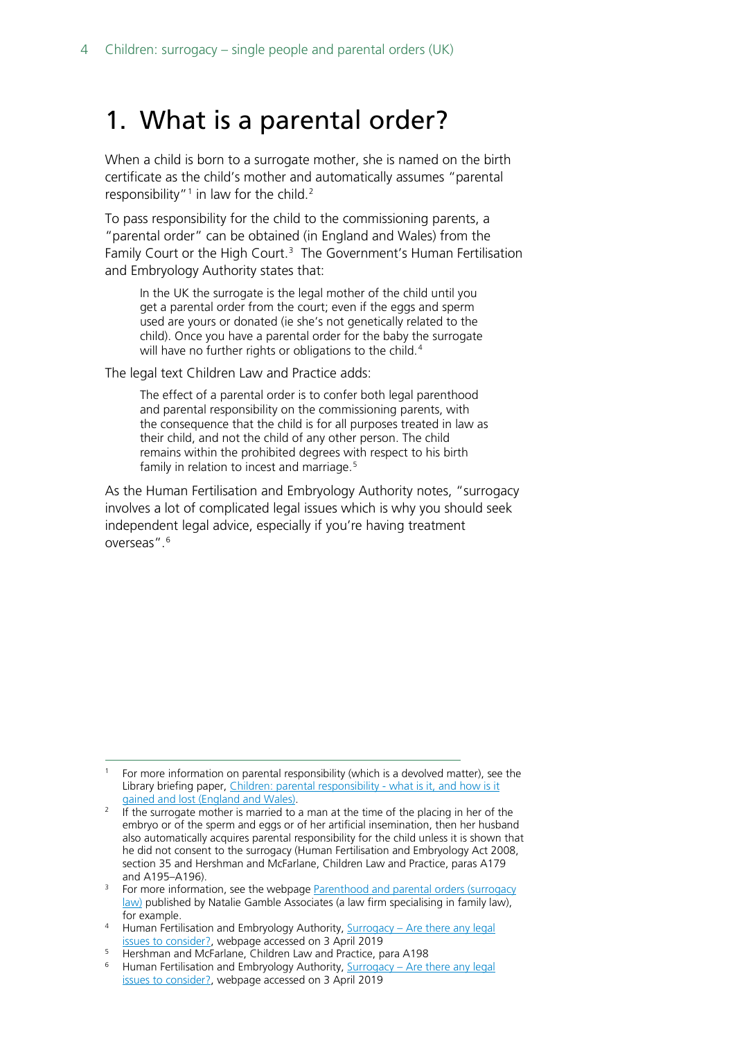## <span id="page-3-0"></span>1. What is a parental order?

When a child is born to a surrogate mother, she is named on the birth certificate as the child's mother and automatically assumes "parental responsibility"<sup>[1](#page-3-1)</sup> in law for the child.<sup>2</sup>

To pass responsibility for the child to the commissioning parents, a "parental order" can be obtained (in England and Wales) from the Family Court or the High Court.<sup>[3](#page-3-3)</sup> The Government's Human Fertilisation and Embryology Authority states that:

In the UK the surrogate is the legal mother of the child until you get a parental order from the court; even if the eggs and sperm used are yours or donated (ie she's not genetically related to the child). Once you have a parental order for the baby the surrogate will have no further rights or obligations to the child.<sup>[4](#page-3-4)</sup>

The legal text Children Law and Practice adds:

The effect of a parental order is to confer both legal parenthood and parental responsibility on the commissioning parents, with the consequence that the child is for all purposes treated in law as their child, and not the child of any other person. The child remains within the prohibited degrees with respect to his birth family in relation to incest and marriage. [5](#page-3-5)

As the Human Fertilisation and Embryology Authority notes, "surrogacy involves a lot of complicated legal issues which is why you should seek independent legal advice, especially if you're having treatment overseas". [6](#page-3-6)

<span id="page-3-1"></span> <sup>1</sup> For more information on parental responsibility (which is a devolved matter), see the Library briefing paper, [Children: parental responsibility -](http://researchbriefings.parliament.uk/ResearchBriefing/Summary/SN02827) what is it, and how is it [gained and lost \(England and Wales\).](http://researchbriefings.parliament.uk/ResearchBriefing/Summary/SN02827)

<span id="page-3-2"></span><sup>&</sup>lt;sup>2</sup> If the surrogate mother is married to a man at the time of the placing in her of the embryo or of the sperm and eggs or of her artificial insemination, then her husband also automatically acquires parental responsibility for the child unless it is shown that he did not consent to the surrogacy (Human Fertilisation and Embryology Act 2008, section 35 and Hershman and McFarlane, Children Law and Practice, paras A179 and A195–A196).

<span id="page-3-3"></span><sup>&</sup>lt;sup>3</sup> For more information, see the webpage **Parenthood and parental orders (surrogacy** [law\)](https://www.nataliegambleassociates.co.uk/knowledge-centre/parenthood-and-parental-orders-surrogacy-law) published by Natalie Gamble Associates (a law firm specialising in family law),

<span id="page-3-4"></span>for example.<br><sup>4</sup> Human Fertilisation and Embryology Authority, Surrogacy – Are there any legal [issues to consider?,](https://www.hfea.gov.uk/treatments/explore-all-treatments/surrogacy/) webpage accessed on 3 April 2019

<span id="page-3-6"></span><span id="page-3-5"></span><sup>&</sup>lt;sup>5</sup> Hershman and McFarlane, Children Law and Practice, para A198<br><sup>6</sup> Human Fertilisation and Embryology Authority Surrogacy – Are t

Human Fertilisation and Embryology Authority, Surrogacy - Are there any legal [issues to consider?,](https://www.hfea.gov.uk/treatments/explore-all-treatments/surrogacy/) webpage accessed on 3 April 2019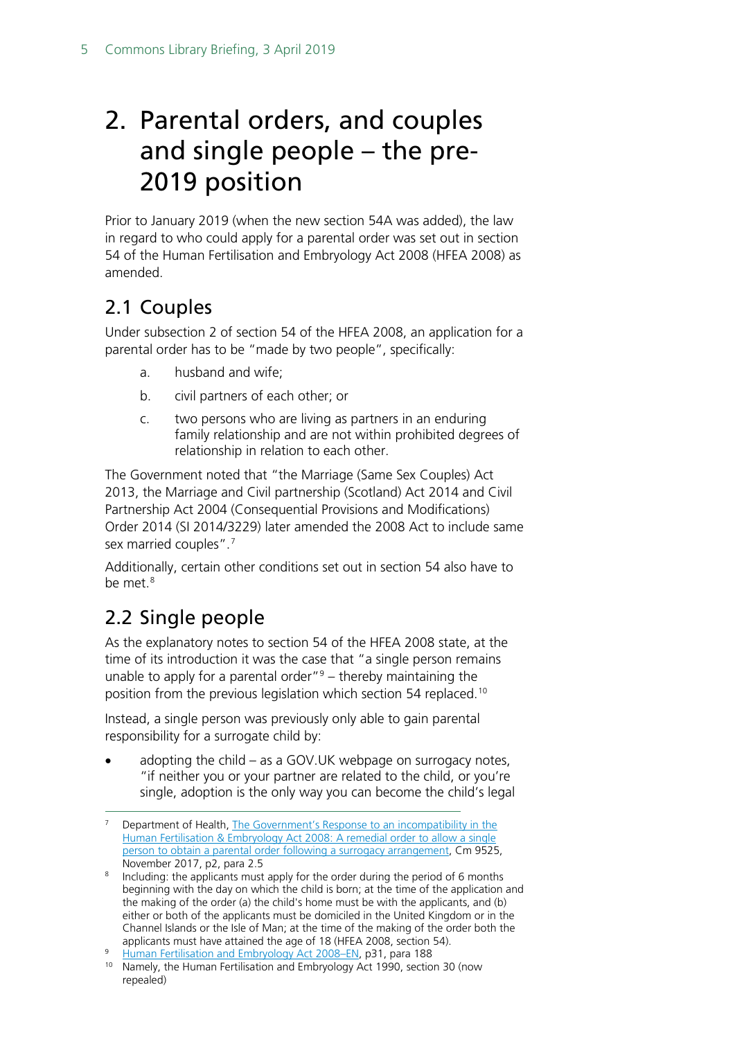## <span id="page-4-0"></span>2. Parental orders, and couples and single people – the pre-2019 position

Prior to January 2019 (when the new section 54A was added), the law in regard to who could apply for a parental order was set out in section 54 of the Human Fertilisation and Embryology Act 2008 (HFEA 2008) as amended.

### <span id="page-4-1"></span>2.1 Couples

Under subsection 2 of section 54 of the HFEA 2008, an application for a parental order has to be "made by two people", specifically:

- a. husband and wife;
- b. civil partners of each other; or
- c. two persons who are living as partners in an enduring family relationship and are not within prohibited degrees of relationship in relation to each other.

The Government noted that "the Marriage (Same Sex Couples) Act 2013, the Marriage and Civil partnership (Scotland) Act 2014 and Civil Partnership Act 2004 (Consequential Provisions and Modifications) Order 2014 (SI 2014/3229) later amended the 2008 Act to include same sex married couples". [7](#page-4-3)

Additionally, certain other conditions set out in section 54 also have to  $he$  met  $8$ 

### <span id="page-4-2"></span>2.2 Single people

As the explanatory notes to section 54 of the HFEA 2008 state, at the time of its introduction it was the case that "a single person remains unable to apply for a parental order" $9$  – thereby maintaining the position from the previous legislation which section 54 replaced.<sup>[10](#page-4-6)</sup>

Instead, a single person was previously only able to gain parental responsibility for a surrogate child by:

adopting the child – as a GOV.UK webpage on surrogacy notes, "if neither you or your partner are related to the child, or you're single, adoption is the only way you can become the child's legal

<span id="page-4-3"></span><sup>&</sup>lt;sup>7</sup> Department of Health, The Government's Response to an incompatibility in the [Human Fertilisation & Embryology Act 2008: A remedial order to allow a single](https://www.gov.uk/government/uploads/system/uploads/attachment_data/file/664161/Command_paper_Cm_9525.pdf)  [person to obtain a parental order following a surrogacy arrangement,](https://www.gov.uk/government/uploads/system/uploads/attachment_data/file/664161/Command_paper_Cm_9525.pdf) Cm 9525, November 2017, p2, para 2.5

<span id="page-4-4"></span><sup>&</sup>lt;sup>8</sup> Including: the applicants must apply for the order during the period of 6 months beginning with the day on which the child is born; at the time of the application and the making of the order (a) the child's home must be with the applicants, and (b) either or both of the applicants must be domiciled in the United Kingdom or in the Channel Islands or the Isle of Man; at the time of the making of the order both the applicants must have attained the age of 18 (HFEA 2008, section 54).

<span id="page-4-5"></span><sup>&</sup>lt;sup>9</sup> [Human Fertilisation and Embryology Act 2008–EN,](http://www.legislation.gov.uk/ukpga/2008/22/pdfs/ukpgaen_20080022_en.pdf) p31, para 188

<span id="page-4-6"></span><sup>&</sup>lt;sup>10</sup> Namely, the Human Fertilisation and Embryology Act 1990, section 30 (now repealed)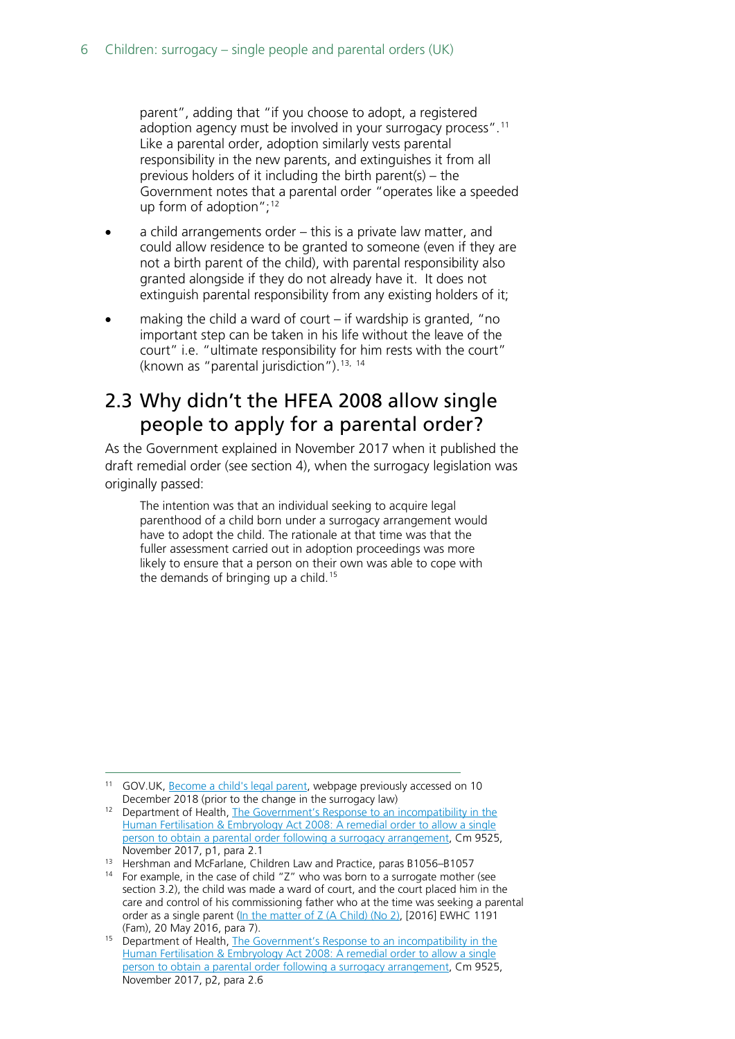parent", adding that "if you choose to adopt, a registered adoption agency must be involved in your surrogacy process".<sup>11</sup> Like a parental order, adoption similarly vests parental responsibility in the new parents, and extinguishes it from all previous holders of it including the birth parent(s) – the Government notes that a parental order "operates like a speeded up form of adoption"; $12$ 

- a child arrangements order this is a private law matter, and could allow residence to be granted to someone (even if they are not a birth parent of the child), with parental responsibility also granted alongside if they do not already have it. It does not extinguish parental responsibility from any existing holders of it;
- making the child a ward of court  $-$  if wardship is granted, "no important step can be taken in his life without the leave of the court" i.e. "ultimate responsibility for him rests with the court" (known as "parental jurisdiction"). $13, 14$  $13, 14$  $13, 14$

### <span id="page-5-0"></span>2.3 Why didn't the HFEA 2008 allow single people to apply for a parental order?

As the Government explained in November 2017 when it published the draft remedial order (see section 4), when the surrogacy legislation was originally passed:

The intention was that an individual seeking to acquire legal parenthood of a child born under a surrogacy arrangement would have to adopt the child. The rationale at that time was that the fuller assessment carried out in adoption proceedings was more likely to ensure that a person on their own was able to cope with the demands of bringing up a child.<sup>[15](#page-5-5)</sup>

<span id="page-5-1"></span><sup>&</sup>lt;sup>11</sup> GOV.UK, [Become a child's legal parent,](https://www.gov.uk/become-a-childs-legal-parent) webpage previously accessed on 10 December 2018 (prior to the change in the surrogacy law)

<span id="page-5-2"></span><sup>&</sup>lt;sup>12</sup> Department of Health, **The Government's Response to an incompatibility in the** [Human Fertilisation & Embryology Act 2008: A remedial order to allow a single](https://www.gov.uk/government/uploads/system/uploads/attachment_data/file/664161/Command_paper_Cm_9525.pdf)  [person to obtain a parental order following a surrogacy arrangement,](https://www.gov.uk/government/uploads/system/uploads/attachment_data/file/664161/Command_paper_Cm_9525.pdf) Cm 9525, November 2017, p1, para 2.1

<span id="page-5-3"></span><sup>13</sup> Hershman and McFarlane, Children Law and Practice, paras B1056–B1057

<span id="page-5-4"></span><sup>&</sup>lt;sup>14</sup> For example, in the case of child "Z" who was born to a surrogate mother (see section 3.2), the child was made a ward of court, and the court placed him in the care and control of his commissioning father who at the time was seeking a parental order as a single parent [\(In the matter of Z \(A Child\) \(No 2\),](http://www.bailii.org/ew/cases/EWHC/Fam/2016/1191.html) [2016] EWHC 1191 (Fam), 20 May 2016, para 7).

<span id="page-5-5"></span><sup>&</sup>lt;sup>15</sup> Department of Health, The Government's Response to an incompatibility in the [Human Fertilisation & Embryology Act 2008: A remedial order to allow a single](https://www.gov.uk/government/uploads/system/uploads/attachment_data/file/664161/Command_paper_Cm_9525.pdf)  [person to obtain a parental order following a surrogacy arrangement,](https://www.gov.uk/government/uploads/system/uploads/attachment_data/file/664161/Command_paper_Cm_9525.pdf) Cm 9525, November 2017, p2, para 2.6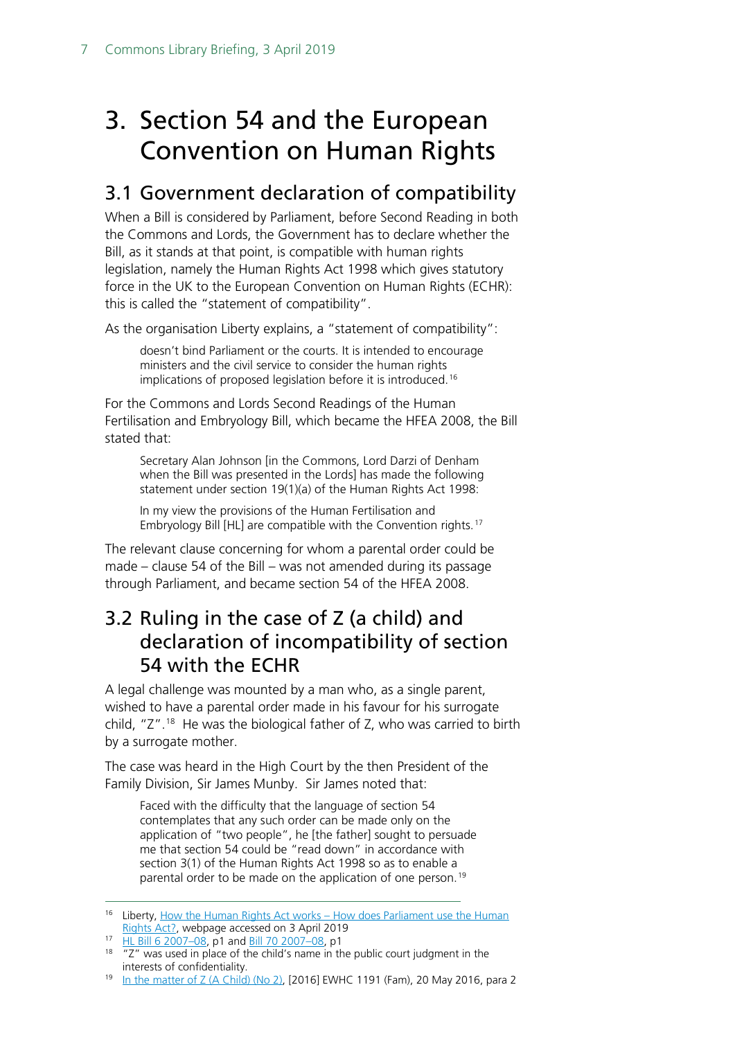## <span id="page-6-0"></span>3. Section 54 and the European Convention on Human Rights

### <span id="page-6-1"></span>3.1 Government declaration of compatibility

When a Bill is considered by Parliament, before Second Reading in both the Commons and Lords, the Government has to declare whether the Bill, as it stands at that point, is compatible with human rights legislation, namely the Human Rights Act 1998 which gives statutory force in the UK to the European Convention on Human Rights (ECHR): this is called the "statement of compatibility".

As the organisation Liberty explains, a "statement of compatibility":

doesn't bind Parliament or the courts. It is intended to encourage ministers and the civil service to consider the human rights implications of proposed legislation before it is introduced. [16](#page-6-3)

For the Commons and Lords Second Readings of the Human Fertilisation and Embryology Bill, which became the HFEA 2008, the Bill stated that:

Secretary Alan Johnson [in the Commons, Lord Darzi of Denham when the Bill was presented in the Lords] has made the following statement under section 19(1)(a) of the Human Rights Act 1998:

In my view the provisions of the Human Fertilisation and Embryology Bill [HL] are compatible with the Convention rights.[17](#page-6-4)

The relevant clause concerning for whom a parental order could be made – clause 54 of the Bill – was not amended during its passage through Parliament, and became section 54 of the HFEA 2008.

### <span id="page-6-2"></span>3.2 Ruling in the case of Z (a child) and declaration of incompatibility of section 54 with the ECHR

A legal challenge was mounted by a man who, as a single parent, wished to have a parental order made in his favour for his surrogate child, "Z".[18](#page-6-5) He was the biological father of Z, who was carried to birth by a surrogate mother.

The case was heard in the High Court by the then President of the Family Division, Sir James Munby. Sir James noted that:

Faced with the difficulty that the language of section 54 contemplates that any such order can be made only on the application of "two people", he [the father] sought to persuade me that section 54 could be "read down" in accordance with section 3(1) of the Human Rights Act 1998 so as to enable a parental order to be made on the application of one person.<sup>[19](#page-6-6)</sup>

<span id="page-6-3"></span><sup>&</sup>lt;sup>16</sup> Liberty, How the Human Rights Act works – How does Parliament use the Human [Rights Act?,](https://www.liberty-human-rights.org.uk/human-rights/what-are-human-rights/human-rights-act/how-human-rights-act-works) webpage accessed on 3 April 2019

<span id="page-6-4"></span><sup>17</sup> [HL Bill 6 2007–08,](https://publications.parliament.uk/pa/ld200708/ldbills/006/2008006.pdf) p1 and [Bill 70 2007–08,](https://publications.parliament.uk/pa/cm200708/cmbills/070/2008070.pdf) p1

<span id="page-6-5"></span> $18$  "Z" was used in place of the child's name in the public court judgment in the interests of confidentiality.

<span id="page-6-6"></span><sup>&</sup>lt;sup>19</sup> [In the matter of Z \(A Child\) \(No 2\),](http://www.bailii.org/ew/cases/EWHC/Fam/2016/1191.html) [2016] EWHC 1191 (Fam), 20 May 2016, para 2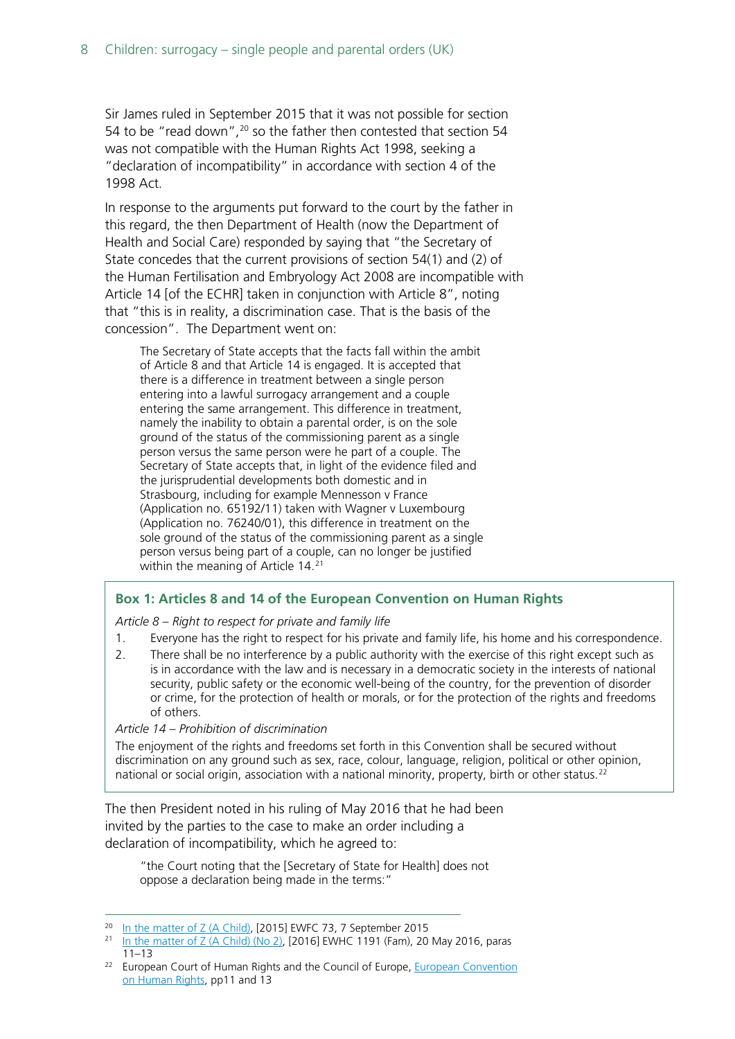Sir James ruled in September 2015 that it was not possible for section 54 to be "read down",<sup>[20](#page-7-0)</sup> so the father then contested that section 54 was not compatible with the Human Rights Act 1998, seeking a "declaration of incompatibility" in accordance with section 4 of the 1998 Act.

In response to the arguments put forward to the court by the father in this regard, the then Department of Health (now the Department of Health and Social Care) responded by saying that "the Secretary of State concedes that the current provisions of section 54(1) and (2) of the Human Fertilisation and Embryology Act 2008 are incompatible with Article 14 [of the ECHR] taken in conjunction with Article 8", noting that "this is in reality, a discrimination case. That is the basis of the concession". The Department went on:

The Secretary of State accepts that the facts fall within the ambit of Article 8 and that Article 14 is engaged. It is accepted that there is a difference in treatment between a single person entering into a lawful surrogacy arrangement and a couple entering the same arrangement. This difference in treatment, namely the inability to obtain a parental order, is on the sole ground of the status of the commissioning parent as a single person versus the same person were he part of a couple. The Secretary of State accepts that, in light of the evidence filed and the jurisprudential developments both domestic and in Strasbourg, including for example Mennesson v France (Application no. 65192/11) taken with Wagner v Luxembourg (Application no. 76240/01), this difference in treatment on the sole ground of the status of the commissioning parent as a single person versus being part of a couple, can no longer be justified within the meaning of Article 14.<sup>[21](#page-7-1)</sup>

#### **Box 1: Articles 8 and 14 of the European Convention on Human Rights**

*Article 8 – Right to respect for private and family life*

- 1. Everyone has the right to respect for his private and family life, his home and his correspondence.
- 2. There shall be no interference by a public authority with the exercise of this right except such as is in accordance with the law and is necessary in a democratic society in the interests of national security, public safety or the economic well-being of the country, for the prevention of disorder or crime, for the protection of health or morals, or for the protection of the rights and freedoms of others.

*Article 14 – Prohibition of discrimination*

The enjoyment of the rights and freedoms set forth in this Convention shall be secured without discrimination on any ground such as sex, race, colour, language, religion, political or other opinion, national or social origin, association with a national minority, property, birth or other status.<sup>[22](#page-7-2)</sup>

The then President noted in his ruling of May 2016 that he had been invited by the parties to the case to make an order including a declaration of incompatibility, which he agreed to:

"the Court noting that the [Secretary of State for Health] does not oppose a declaration being made in the terms:"

<span id="page-7-1"></span><span id="page-7-0"></span><sup>&</sup>lt;sup>20</sup> [In the matter of Z \(A Child\),](http://www.bailii.org/ew/cases/EWFC/HCJ/2015/73.html) [2015] EWFC 73, 7 September 2015

<sup>&</sup>lt;sup>21</sup> In the matter of  $Z$  (A Child) (No 2), [2016] EWHC 1191 (Fam), 20 May 2016, paras 11–13

<span id="page-7-2"></span><sup>&</sup>lt;sup>22</sup> European Court of Human Rights and the Council of Europe, European Convention [on Human Rights,](http://www.echr.coe.int/Documents/Convention_ENG.pdf) pp11 and 13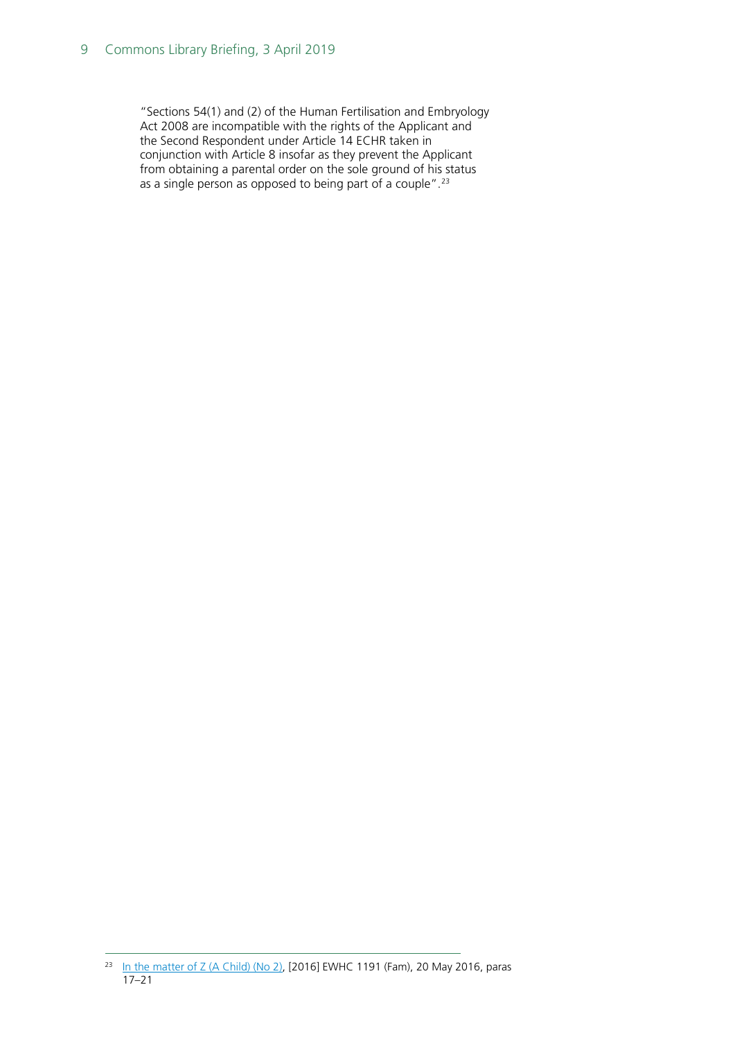#### 9 Commons Library Briefing, 3 April 2019

"Sections 54(1) and (2) of the Human Fertilisation and Embryology Act 2008 are incompatible with the rights of the Applicant and the Second Respondent under Article 14 ECHR taken in conjunction with Article 8 insofar as they prevent the Applicant from obtaining a parental order on the sole ground of his status as a single person as opposed to being part of a couple".[23](#page-8-0)

<span id="page-8-0"></span><sup>&</sup>lt;sup>23</sup> [In the matter of Z \(A Child\) \(No 2\),](http://www.bailii.org/ew/cases/EWHC/Fam/2016/1191.html) [2016] EWHC 1191 (Fam), 20 May 2016, paras 17–21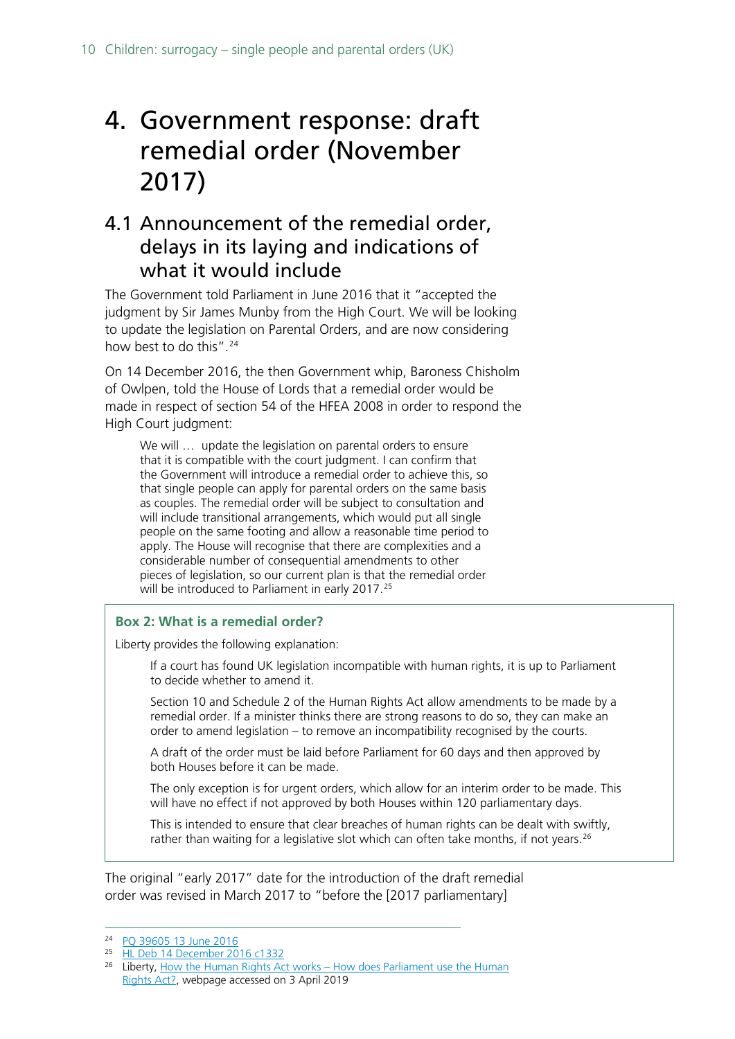## <span id="page-9-0"></span>4. Government response: draft remedial order (November 2017)

### <span id="page-9-1"></span>4.1 Announcement of the remedial order, delays in its laying and indications of what it would include

The Government told Parliament in June 2016 that it "accepted the judgment by Sir James Munby from the High Court. We will be looking to update the legislation on Parental Orders, and are now considering how best to do this". [24](#page-9-2)

On 14 December 2016, the then Government whip, Baroness Chisholm of Owlpen, told the House of Lords that a remedial order would be made in respect of section 54 of the HFEA 2008 in order to respond the High Court judgment:

We will ... update the legislation on parental orders to ensure that it is compatible with the court judgment. I can confirm that the Government will introduce a remedial order to achieve this, so that single people can apply for parental orders on the same basis as couples. The remedial order will be subject to consultation and will include transitional arrangements, which would put all single people on the same footing and allow a reasonable time period to apply. The House will recognise that there are complexities and a considerable number of consequential amendments to other pieces of legislation, so our current plan is that the remedial order will be introduced to Parliament in early 2017.<sup>[25](#page-9-3)</sup>

#### **Box 2: What is a remedial order?**

Liberty provides the following explanation:

If a court has found UK legislation incompatible with human rights, it is up to Parliament to decide whether to amend it.

Section 10 and Schedule 2 of the Human Rights Act allow amendments to be made by a remedial order. If a minister thinks there are strong reasons to do so, they can make an order to amend legislation – to remove an incompatibility recognised by the courts.

A draft of the order must be laid before Parliament for 60 days and then approved by both Houses before it can be made.

The only exception is for urgent orders, which allow for an interim order to be made. This will have no effect if not approved by both Houses within 120 parliamentary days.

This is intended to ensure that clear breaches of human rights can be dealt with swiftly, rather than waiting for a legislative slot which can often take months, if not years.<sup>[26](#page-9-4)</sup>

The original "early 2017" date for the introduction of the draft remedial order was revised in March 2017 to "before the [2017 parliamentary]

<span id="page-9-2"></span> <sup>24</sup> [PQ 39605 13 June 2016](http://www.parliament.uk/written-questions-answers-statements/written-question/commons/2016-06-07/39605)

<sup>25</sup> [HL Deb 14 December 2016 c1332](https://hansard.parliament.uk/Lords/2016-12-14/debates/391AB95D-1999-4D52-A5D0-C9EF6CF44407/Surrogacy)

<span id="page-9-4"></span><span id="page-9-3"></span><sup>&</sup>lt;sup>26</sup> Liberty, How the Human Rights Act works – How does Parliament use the Human [Rights Act?,](https://www.liberty-human-rights.org.uk/human-rights/what-are-human-rights/human-rights-act/how-human-rights-act-works) webpage accessed on 3 April 2019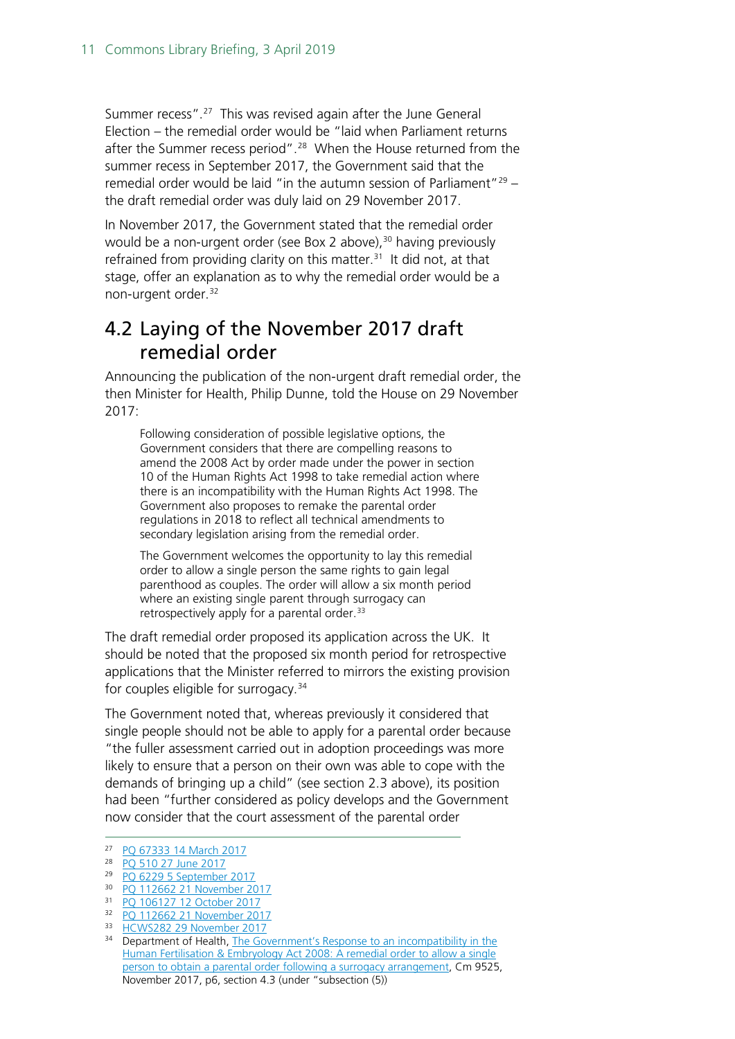Summer recess".<sup>[27](#page-10-1)</sup> This was revised again after the June General Election – the remedial order would be "laid when Parliament returns after the Summer recess period".<sup>28</sup> When the House returned from the summer recess in September 2017, the Government said that the remedial order would be laid "in the autumn session of Parliament"<sup>[29](#page-10-3)</sup> the draft remedial order was duly laid on 29 November 2017.

In November 2017, the Government stated that the remedial order would be a non-urgent order (see Box 2 above),<sup>[30](#page-10-4)</sup> having previously refrained from providing clarity on this matter.<sup>[31](#page-10-5)</sup> It did not, at that stage, offer an explanation as to why the remedial order would be a non-urgent order.<sup>[32](#page-10-6)</sup>

### <span id="page-10-0"></span>4.2 Laying of the November 2017 draft remedial order

Announcing the publication of the non-urgent draft remedial order, the then Minister for Health, Philip Dunne, told the House on 29 November 2017:

Following consideration of possible legislative options, the Government considers that there are compelling reasons to amend the 2008 Act by order made under the power in section 10 of the Human Rights Act 1998 to take remedial action where there is an incompatibility with the Human Rights Act 1998. The Government also proposes to remake the parental order regulations in 2018 to reflect all technical amendments to secondary legislation arising from the remedial order.

The Government welcomes the opportunity to lay this remedial order to allow a single person the same rights to gain legal parenthood as couples. The order will allow a six month period where an existing single parent through surrogacy can retrospectively apply for a parental order.<sup>[33](#page-10-7)</sup>

The draft remedial order proposed its application across the UK. It should be noted that the proposed six month period for retrospective applications that the Minister referred to mirrors the existing provision for couples eligible for surrogacy.<sup>34</sup>

The Government noted that, whereas previously it considered that single people should not be able to apply for a parental order because "the fuller assessment carried out in adoption proceedings was more likely to ensure that a person on their own was able to cope with the demands of bringing up a child" (see section 2.3 above), its position had been "further considered as policy develops and the Government now consider that the court assessment of the parental order

<span id="page-10-1"></span> <sup>27</sup> [PQ 67333 14 March 2017](http://www.parliament.uk/written-questions-answers-statements/written-question/commons/2017-03-09/67333)

<span id="page-10-2"></span><sup>28</sup> [PQ 510 27 June 2017](http://www.parliament.uk/written-questions-answers-statements/written-question/commons/2017-06-21/510)

<span id="page-10-3"></span><sup>29</sup> [PQ 6229 5 September 2017](http://www.parliament.uk/written-questions-answers-statements/written-question/commons/2017-07-19/6229)

<span id="page-10-4"></span><sup>30</sup> [PQ 112662 21 November 2017](http://www.parliament.uk/written-questions-answers-statements/written-question/commons/2017-11-13/112662)

<span id="page-10-5"></span><sup>31</sup> [PQ 106127 12 October 2017](http://www.parliament.uk/written-questions-answers-statements/written-question/commons/2017-10-06/106127)

<sup>32</sup> [PQ 112662 21 November 2017](http://www.parliament.uk/written-questions-answers-statements/written-question/commons/2017-11-13/112662)

<span id="page-10-7"></span><span id="page-10-6"></span><sup>33</sup> [HCWS282 29 November 2017](https://www.parliament.uk/business/publications/written-questions-answers-statements/written-statement/Commons/2017-11-29/HCWS282/)

<span id="page-10-8"></span><sup>&</sup>lt;sup>34</sup> Department of Health, The Government's Response to an incompatibility in the [Human Fertilisation & Embryology Act 2008: A remedial order to allow a single](https://www.gov.uk/government/uploads/system/uploads/attachment_data/file/664161/Command_paper_Cm_9525.pdf)  [person to obtain a parental order following a surrogacy arrangement,](https://www.gov.uk/government/uploads/system/uploads/attachment_data/file/664161/Command_paper_Cm_9525.pdf) Cm 9525, November 2017, p6, section 4.3 (under "subsection (5))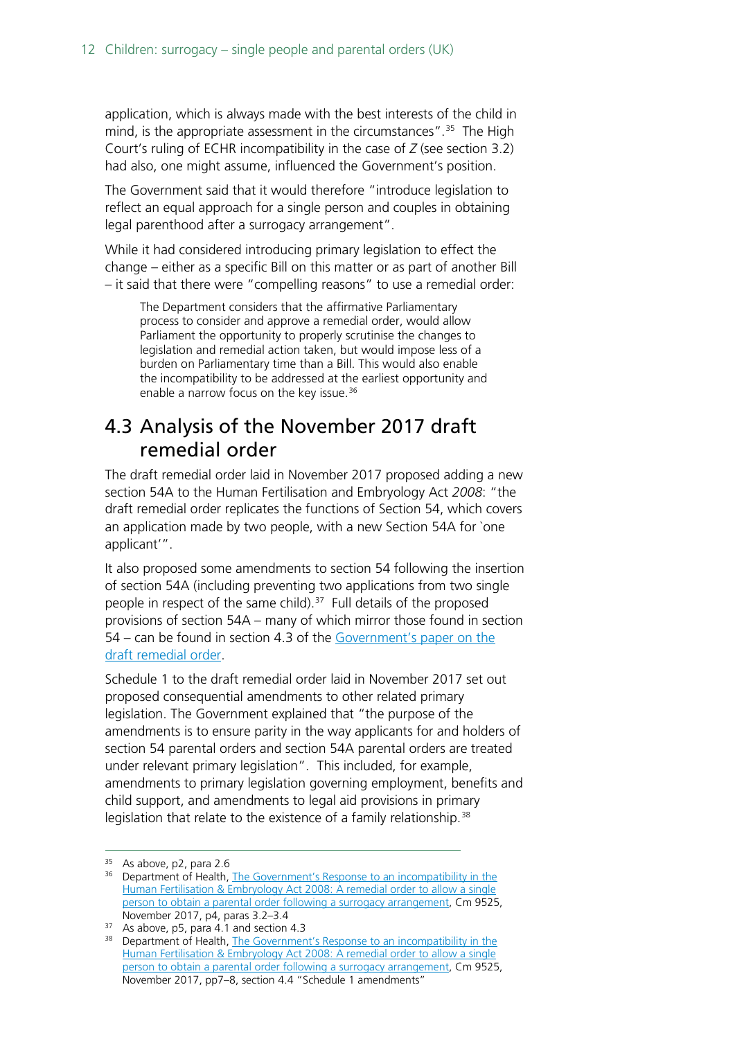application, which is always made with the best interests of the child in mind, is the appropriate assessment in the circumstances". [35](#page-11-1) The High Court's ruling of ECHR incompatibility in the case of *Z* (see section 3.2) had also, one might assume, influenced the Government's position.

The Government said that it would therefore "introduce legislation to reflect an equal approach for a single person and couples in obtaining legal parenthood after a surrogacy arrangement".

While it had considered introducing primary legislation to effect the change – either as a specific Bill on this matter or as part of another Bill – it said that there were "compelling reasons" to use a remedial order:

The Department considers that the affirmative Parliamentary process to consider and approve a remedial order, would allow Parliament the opportunity to properly scrutinise the changes to legislation and remedial action taken, but would impose less of a burden on Parliamentary time than a Bill. This would also enable the incompatibility to be addressed at the earliest opportunity and enable a narrow focus on the key issue.<sup>[36](#page-11-2)</sup>

### <span id="page-11-0"></span>4.3 Analysis of the November 2017 draft remedial order

The draft remedial order laid in November 2017 proposed adding a new section 54A to the Human Fertilisation and Embryology Act *2008*: "the draft remedial order replicates the functions of Section 54, which covers an application made by two people, with a new Section 54A for `one applicant'".

It also proposed some amendments to section 54 following the insertion of section 54A (including preventing two applications from two single people in respect of the same child). $37$  Full details of the proposed provisions of section 54A – many of which mirror those found in section 54 – can be found in section 4.3 of the [Government's paper on the](https://www.gov.uk/government/uploads/system/uploads/attachment_data/file/664161/Command_paper_Cm_9525.pdf)  [draft remedial order.](https://www.gov.uk/government/uploads/system/uploads/attachment_data/file/664161/Command_paper_Cm_9525.pdf)

Schedule 1 to the draft remedial order laid in November 2017 set out proposed consequential amendments to other related primary legislation. The Government explained that "the purpose of the amendments is to ensure parity in the way applicants for and holders of section 54 parental orders and section 54A parental orders are treated under relevant primary legislation". This included, for example, amendments to primary legislation governing employment, benefits and child support, and amendments to legal aid provisions in primary legislation that relate to the existence of a family relationship.<sup>[38](#page-11-4)</sup>

<span id="page-11-1"></span><sup>&</sup>lt;sup>35</sup> As above, p2, para 2.6

<span id="page-11-2"></span><sup>&</sup>lt;sup>36</sup> Department of Health, **The Government's Response to an incompatibility in the** [Human Fertilisation & Embryology Act 2008: A remedial order to allow a single](https://www.gov.uk/government/uploads/system/uploads/attachment_data/file/664161/Command_paper_Cm_9525.pdf)  [person to obtain a parental order following a surrogacy arrangement,](https://www.gov.uk/government/uploads/system/uploads/attachment_data/file/664161/Command_paper_Cm_9525.pdf) Cm 9525, November 2017, p4, paras 3.2–3.4

<span id="page-11-3"></span> $37$  As above, p5, para 4.1 and section 4.3

<span id="page-11-4"></span><sup>&</sup>lt;sup>38</sup> Department of Health, The Government's Response to an incompatibility in the [Human Fertilisation & Embryology Act 2008: A remedial order to allow a single](https://www.gov.uk/government/uploads/system/uploads/attachment_data/file/664161/Command_paper_Cm_9525.pdf)  [person to obtain a parental order following a surrogacy arrangement,](https://www.gov.uk/government/uploads/system/uploads/attachment_data/file/664161/Command_paper_Cm_9525.pdf) Cm 9525, November 2017, pp7–8, section 4.4 "Schedule 1 amendments"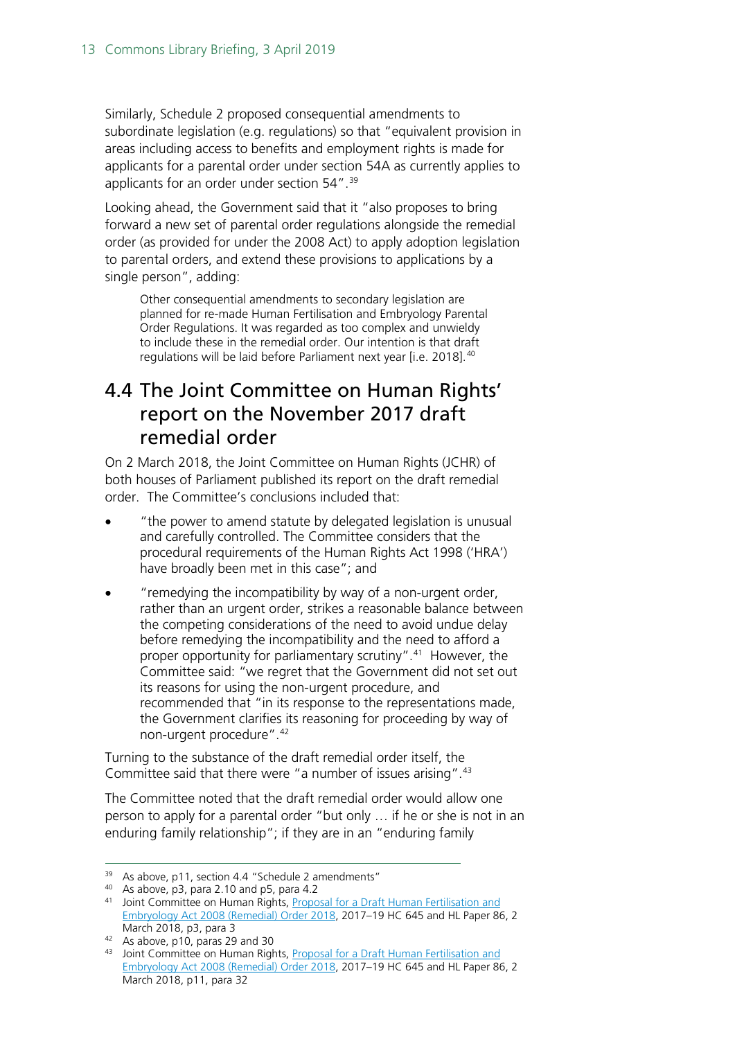Similarly, Schedule 2 proposed consequential amendments to subordinate legislation (e.g. regulations) so that "equivalent provision in areas including access to benefits and employment rights is made for applicants for a parental order under section 54A as currently applies to applicants for an order under section 54". [39](#page-12-1)

Looking ahead, the Government said that it "also proposes to bring forward a new set of parental order regulations alongside the remedial order (as provided for under the 2008 Act) to apply adoption legislation to parental orders, and extend these provisions to applications by a single person", adding:

Other consequential amendments to secondary legislation are planned for re-made Human Fertilisation and Embryology Parental Order Regulations. It was regarded as too complex and unwieldy to include these in the remedial order. Our intention is that draft regulations will be laid before Parliament next year [i.e. 2018]. [40](#page-12-2)

### <span id="page-12-0"></span>4.4 The Joint Committee on Human Rights' report on the November 2017 draft remedial order

On 2 March 2018, the Joint Committee on Human Rights (JCHR) of both houses of Parliament published its report on the draft remedial order. The Committee's conclusions included that:

- "the power to amend statute by delegated legislation is unusual and carefully controlled. The Committee considers that the procedural requirements of the Human Rights Act 1998 ('HRA') have broadly been met in this case"; and
- "remedying the incompatibility by way of a non-urgent order, rather than an urgent order, strikes a reasonable balance between the competing considerations of the need to avoid undue delay before remedying the incompatibility and the need to afford a proper opportunity for parliamentary scrutiny".[41](#page-12-3) However, the Committee said: "we regret that the Government did not set out its reasons for using the non-urgent procedure, and recommended that "in its response to the representations made, the Government clarifies its reasoning for proceeding by way of non-urgent procedure".[42](#page-12-4)

Turning to the substance of the draft remedial order itself, the Committee said that there were "a number of issues arising".[43](#page-12-5)

The Committee noted that the draft remedial order would allow one person to apply for a parental order "but only … if he or she is not in an enduring family relationship"; if they are in an "enduring family

<sup>&</sup>lt;sup>39</sup> As above, p11, section 4.4 "Schedule 2 amendments"

<span id="page-12-2"></span><span id="page-12-1"></span><sup>40</sup> As above, p3, para 2.10 and p5, para 4.2

<span id="page-12-3"></span><sup>41</sup> Joint Committee on Human Rights, Proposal for a Draft Human Fertilisation and [Embryology Act 2008 \(Remedial\) Order 2018,](https://publications.parliament.uk/pa/jt201719/jtselect/jtrights/645/645.pdf) 2017–19 HC 645 and HL Paper 86, 2 March 2018, p3, para 3

<span id="page-12-4"></span><sup>42</sup> As above, p10, paras 29 and 30

<span id="page-12-5"></span><sup>43</sup> Joint Committee on Human Rights, Proposal for a Draft Human Fertilisation and [Embryology Act 2008 \(Remedial\) Order 2018,](https://publications.parliament.uk/pa/jt201719/jtselect/jtrights/645/645.pdf) 2017–19 HC 645 and HL Paper 86, 2 March 2018, p11, para 32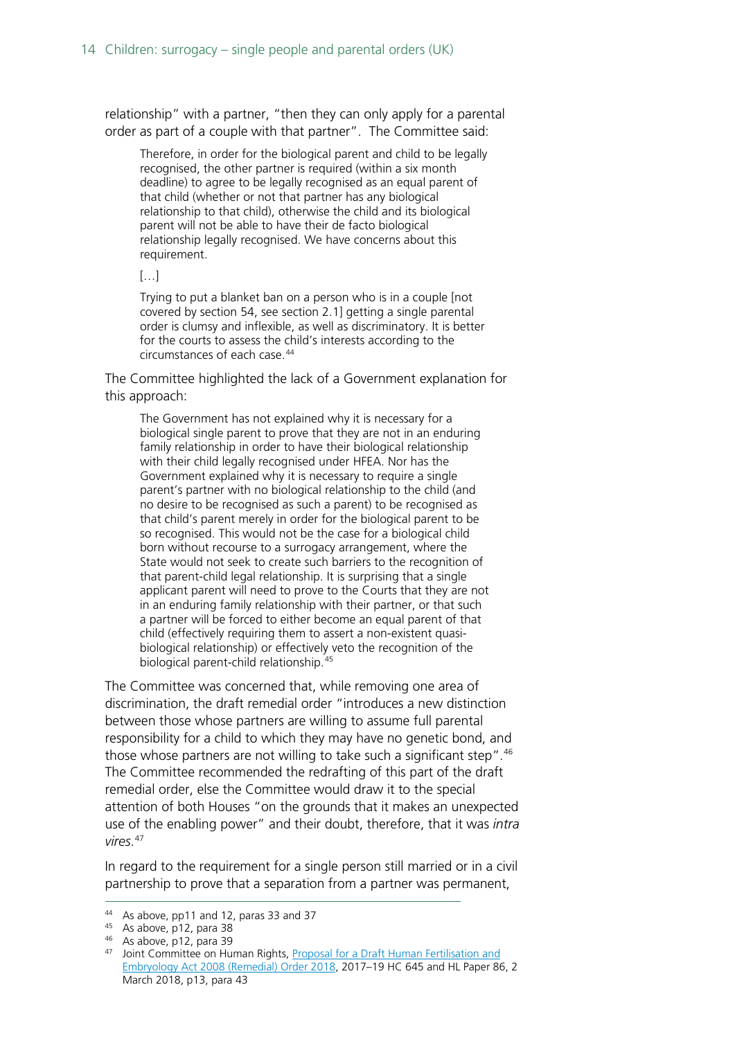relationship" with a partner, "then they can only apply for a parental order as part of a couple with that partner". The Committee said:

Therefore, in order for the biological parent and child to be legally recognised, the other partner is required (within a six month deadline) to agree to be legally recognised as an equal parent of that child (whether or not that partner has any biological relationship to that child), otherwise the child and its biological parent will not be able to have their de facto biological relationship legally recognised. We have concerns about this requirement.

#### […]

Trying to put a blanket ban on a person who is in a couple [not covered by section 54, see section 2.1] getting a single parental order is clumsy and inflexible, as well as discriminatory. It is better for the courts to assess the child's interests according to the circumstances of each case.[44](#page-13-0)

The Committee highlighted the lack of a Government explanation for this approach:

The Government has not explained why it is necessary for a biological single parent to prove that they are not in an enduring family relationship in order to have their biological relationship with their child legally recognised under HFEA. Nor has the Government explained why it is necessary to require a single parent's partner with no biological relationship to the child (and no desire to be recognised as such a parent) to be recognised as that child's parent merely in order for the biological parent to be so recognised. This would not be the case for a biological child born without recourse to a surrogacy arrangement, where the State would not seek to create such barriers to the recognition of that parent-child legal relationship. It is surprising that a single applicant parent will need to prove to the Courts that they are not in an enduring family relationship with their partner, or that such a partner will be forced to either become an equal parent of that child (effectively requiring them to assert a non-existent quasibiological relationship) or effectively veto the recognition of the biological parent-child relationship.[45](#page-13-1)

The Committee was concerned that, while removing one area of discrimination, the draft remedial order "introduces a new distinction between those whose partners are willing to assume full parental responsibility for a child to which they may have no genetic bond, and those whose partners are not willing to take such a significant step".<sup>46</sup> The Committee recommended the redrafting of this part of the draft remedial order, else the Committee would draw it to the special attention of both Houses "on the grounds that it makes an unexpected use of the enabling power" and their doubt, therefore, that it was *intra vires*. [47](#page-13-3)

In regard to the requirement for a single person still married or in a civil partnership to prove that a separation from a partner was permanent,

<sup>44</sup> As above, pp11 and 12, paras 33 and 37

<span id="page-13-1"></span><span id="page-13-0"></span><sup>45</sup> As above, p12, para 38

<sup>46</sup> As above, p12, para 39

<span id="page-13-3"></span><span id="page-13-2"></span><sup>47</sup> Joint Committee on Human Rights, Proposal for a Draft Human Fertilisation and [Embryology Act 2008 \(Remedial\) Order 2018,](https://publications.parliament.uk/pa/jt201719/jtselect/jtrights/645/645.pdf) 2017–19 HC 645 and HL Paper 86, 2 March 2018, p13, para 43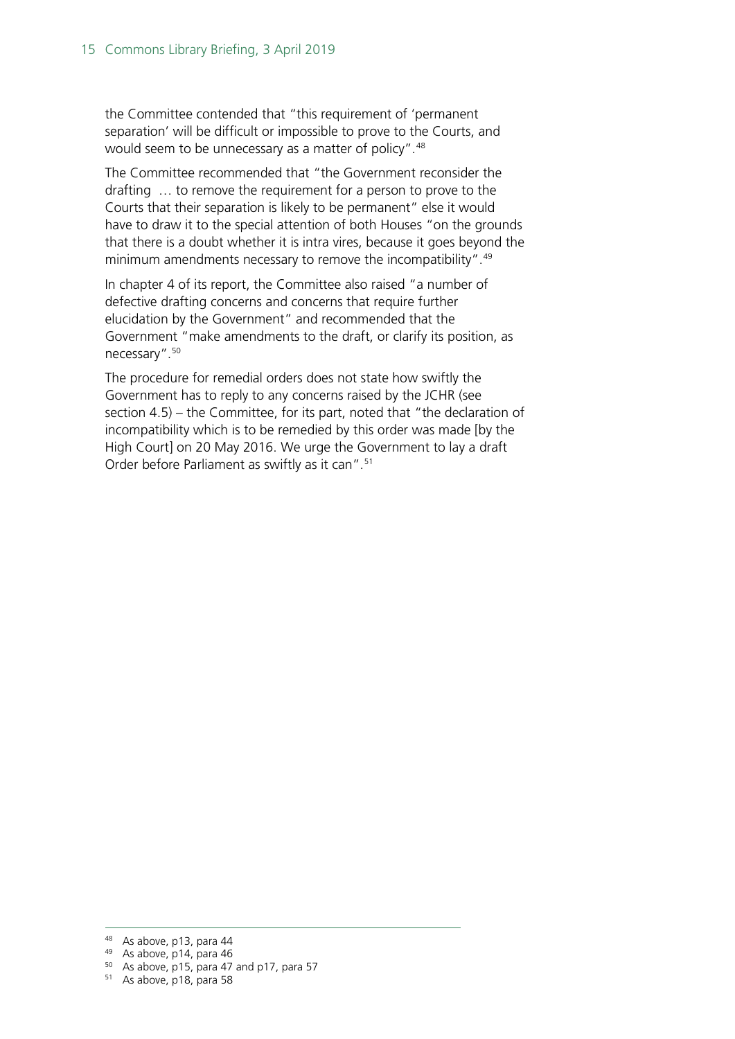the Committee contended that "this requirement of 'permanent separation' will be difficult or impossible to prove to the Courts, and would seem to be unnecessary as a matter of policy".<sup>[48](#page-14-0)</sup>

The Committee recommended that "the Government reconsider the drafting … to remove the requirement for a person to prove to the Courts that their separation is likely to be permanent" else it would have to draw it to the special attention of both Houses "on the grounds that there is a doubt whether it is intra vires, because it goes beyond the minimum amendments necessary to remove the incompatibility".<sup>[49](#page-14-1)</sup>

In chapter 4 of its report, the Committee also raised "a number of defective drafting concerns and concerns that require further elucidation by the Government" and recommended that the Government "make amendments to the draft, or clarify its position, as necessary".[50](#page-14-2)

The procedure for remedial orders does not state how swiftly the Government has to reply to any concerns raised by the JCHR (see section 4.5) – the Committee, for its part, noted that "the declaration of incompatibility which is to be remedied by this order was made [by the High Court] on 20 May 2016. We urge the Government to lay a draft Order before Parliament as swiftly as it can".[51](#page-14-3)

 <sup>48</sup> As above, p13, para 44

<span id="page-14-1"></span><span id="page-14-0"></span><sup>&</sup>lt;sup>49</sup> As above, p14, para 46

<span id="page-14-2"></span><sup>&</sup>lt;sup>50</sup> As above, p15, para 47 and p17, para 57

<span id="page-14-3"></span><sup>51</sup> As above, p18, para 58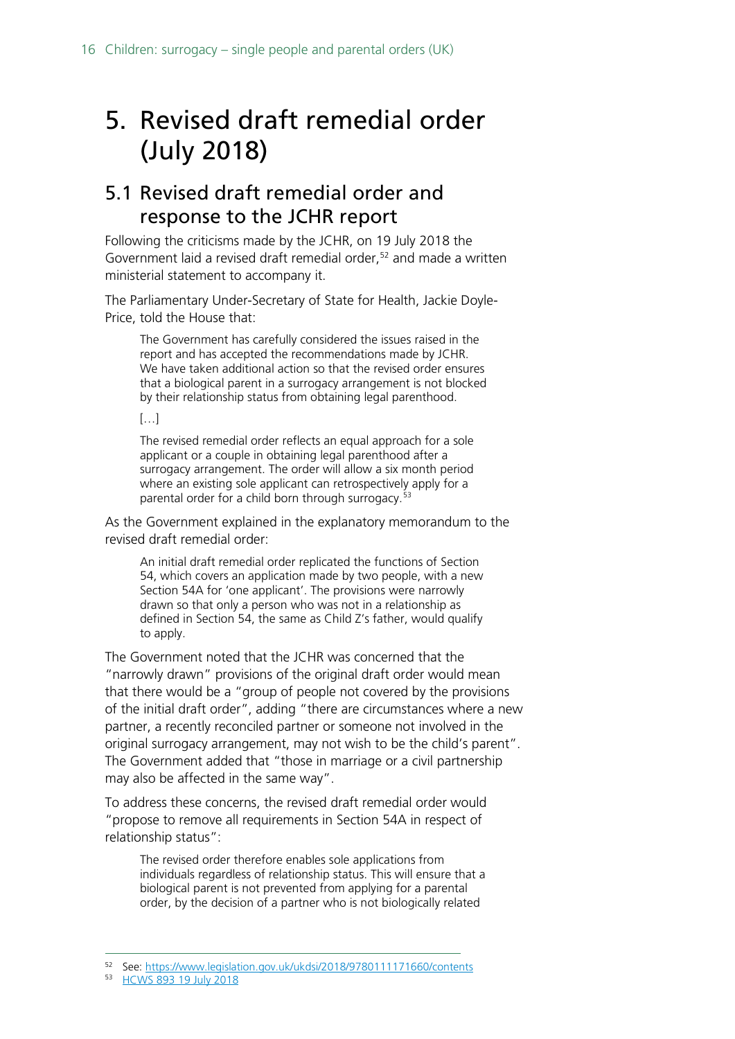## <span id="page-15-0"></span>5. Revised draft remedial order (July 2018)

### <span id="page-15-1"></span>5.1 Revised draft remedial order and response to the JCHR report

Following the criticisms made by the JCHR, on 19 July 2018 the Government laid a revised draft remedial order,<sup>[52](#page-15-2)</sup> and made a written ministerial statement to accompany it.

The Parliamentary Under-Secretary of State for Health, Jackie Doyle-Price, told the House that:

The Government has carefully considered the issues raised in the report and has accepted the recommendations made by JCHR. We have taken additional action so that the revised order ensures that a biological parent in a surrogacy arrangement is not blocked by their relationship status from obtaining legal parenthood.

#### […]

The revised remedial order reflects an equal approach for a sole applicant or a couple in obtaining legal parenthood after a surrogacy arrangement. The order will allow a six month period where an existing sole applicant can retrospectively apply for a parental order for a child born through surrogacy. [53](#page-15-3)

As the Government explained in the explanatory memorandum to the revised draft remedial order:

An initial draft remedial order replicated the functions of Section 54, which covers an application made by two people, with a new Section 54A for 'one applicant'. The provisions were narrowly drawn so that only a person who was not in a relationship as defined in Section 54, the same as Child Z's father, would qualify to apply.

The Government noted that the JCHR was concerned that the "narrowly drawn" provisions of the original draft order would mean that there would be a "group of people not covered by the provisions of the initial draft order", adding "there are circumstances where a new partner, a recently reconciled partner or someone not involved in the original surrogacy arrangement, may not wish to be the child's parent". The Government added that "those in marriage or a civil partnership may also be affected in the same way".

To address these concerns, the revised draft remedial order would "propose to remove all requirements in Section 54A in respect of relationship status":

The revised order therefore enables sole applications from individuals regardless of relationship status. This will ensure that a biological parent is not prevented from applying for a parental order, by the decision of a partner who is not biologically related

<span id="page-15-3"></span><span id="page-15-2"></span><sup>52</sup> See: https://www.legislation.gov.uk/ukdsi/2018/9780111171660/contents<br>53 [HCWS 893 19 July 2018](https://www.parliament.uk/written-questions-answers-statements/written-statement/Commons/2018-07-19/HCWS893)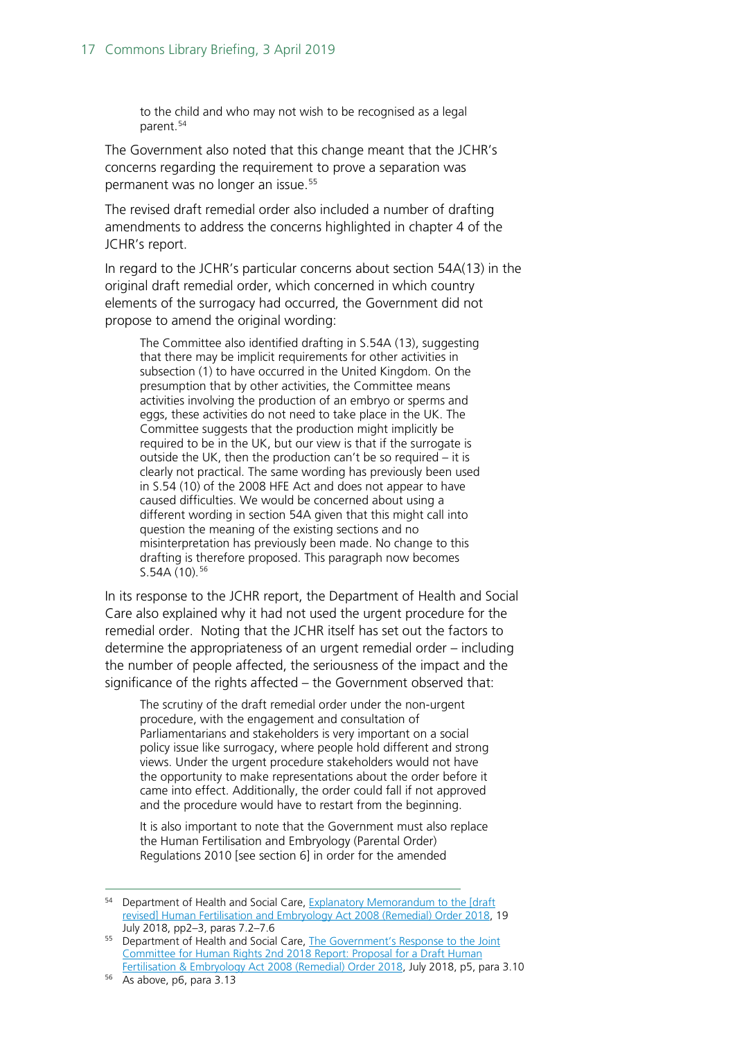to the child and who may not wish to be recognised as a legal parent.<sup>54</sup>

The Government also noted that this change meant that the JCHR's concerns regarding the requirement to prove a separation was permanent was no longer an issue.<sup>[55](#page-16-1)</sup>

The revised draft remedial order also included a number of drafting amendments to address the concerns highlighted in chapter 4 of the JCHR's report.

In regard to the JCHR's particular concerns about section 54A(13) in the original draft remedial order, which concerned in which country elements of the surrogacy had occurred, the Government did not propose to amend the original wording:

The Committee also identified drafting in S.54A (13), suggesting that there may be implicit requirements for other activities in subsection (1) to have occurred in the United Kingdom. On the presumption that by other activities, the Committee means activities involving the production of an embryo or sperms and eggs, these activities do not need to take place in the UK. The Committee suggests that the production might implicitly be required to be in the UK, but our view is that if the surrogate is outside the UK, then the production can't be so required – it is clearly not practical. The same wording has previously been used in S.54 (10) of the 2008 HFE Act and does not appear to have caused difficulties. We would be concerned about using a different wording in section 54A given that this might call into question the meaning of the existing sections and no misinterpretation has previously been made. No change to this drafting is therefore proposed. This paragraph now becomes S.54A (10).<sup>[56](#page-16-2)</sup>

In its response to the JCHR report, the Department of Health and Social Care also explained why it had not used the urgent procedure for the remedial order. Noting that the JCHR itself has set out the factors to determine the appropriateness of an urgent remedial order – including the number of people affected, the seriousness of the impact and the significance of the rights affected – the Government observed that:

The scrutiny of the draft remedial order under the non-urgent procedure, with the engagement and consultation of Parliamentarians and stakeholders is very important on a social policy issue like surrogacy, where people hold different and strong views. Under the urgent procedure stakeholders would not have the opportunity to make representations about the order before it came into effect. Additionally, the order could fall if not approved and the procedure would have to restart from the beginning.

It is also important to note that the Government must also replace the Human Fertilisation and Embryology (Parental Order) Regulations 2010 [see section 6] in order for the amended

<span id="page-16-0"></span><sup>54</sup> Department of Health and Social Care, [Explanatory Memorandum to the \[draft](https://www.legislation.gov.uk/ukdsi/2018/9780111171660/pdfs/ukdsiem_9780111171660_en.pdf) [revised\] Human Fertilisation and Embryology Act 2008 \(Remedial\) Order 2018,](https://www.legislation.gov.uk/ukdsi/2018/9780111171660/pdfs/ukdsiem_9780111171660_en.pdf) 19 July 2018, pp2–3, paras 7.2–7.6

<span id="page-16-1"></span><sup>&</sup>lt;sup>55</sup> Department of Health and Social Care, The Government's Response to the Joint [Committee for Human Rights 2nd 2018 Report: Proposal for a Draft Human](https://assets.publishing.service.gov.uk/government/uploads/system/uploads/attachment_data/file/727963/Govt_response_to_JCHR_Web_Accessible.pdf)  [Fertilisation & Embryology Act 2008 \(Remedial\) Order 2018,](https://assets.publishing.service.gov.uk/government/uploads/system/uploads/attachment_data/file/727963/Govt_response_to_JCHR_Web_Accessible.pdf) July 2018, p5, para 3.10

<span id="page-16-2"></span> $56$  As above, p6, para 3.13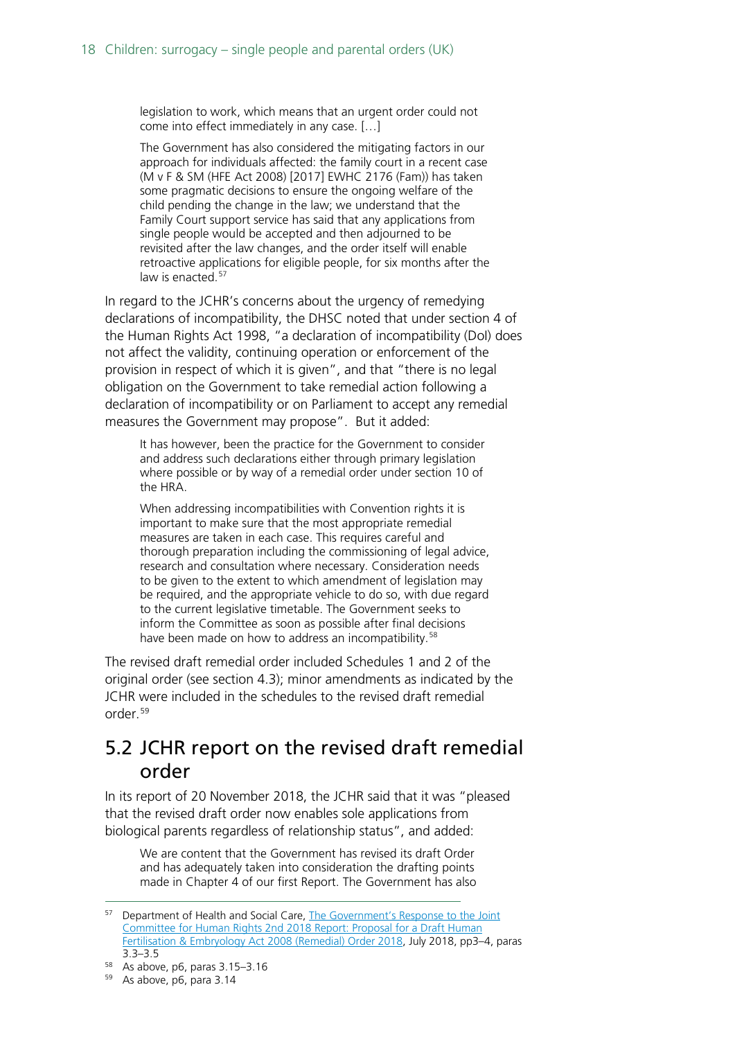legislation to work, which means that an urgent order could not come into effect immediately in any case. […]

The Government has also considered the mitigating factors in our approach for individuals affected: the family court in a recent case (M v F & SM (HFE Act 2008) [2017] EWHC 2176 (Fam)) has taken some pragmatic decisions to ensure the ongoing welfare of the child pending the change in the law; we understand that the Family Court support service has said that any applications from single people would be accepted and then adjourned to be revisited after the law changes, and the order itself will enable retroactive applications for eligible people, for six months after the law is enacted.<sup>[57](#page-17-1)</sup>

In regard to the JCHR's concerns about the urgency of remedying declarations of incompatibility, the DHSC noted that under section 4 of the Human Rights Act 1998, "a declaration of incompatibility (DoI) does not affect the validity, continuing operation or enforcement of the provision in respect of which it is given", and that "there is no legal obligation on the Government to take remedial action following a declaration of incompatibility or on Parliament to accept any remedial measures the Government may propose". But it added:

It has however, been the practice for the Government to consider and address such declarations either through primary legislation where possible or by way of a remedial order under section 10 of the HRA.

When addressing incompatibilities with Convention rights it is important to make sure that the most appropriate remedial measures are taken in each case. This requires careful and thorough preparation including the commissioning of legal advice, research and consultation where necessary. Consideration needs to be given to the extent to which amendment of legislation may be required, and the appropriate vehicle to do so, with due regard to the current legislative timetable. The Government seeks to inform the Committee as soon as possible after final decisions have been made on how to address an incompatibility.<sup>[58](#page-17-2)</sup>

The revised draft remedial order included Schedules 1 and 2 of the original order (see section 4.3); minor amendments as indicated by the JCHR were included in the schedules to the revised draft remedial order.[59](#page-17-3)

### <span id="page-17-0"></span>5.2 JCHR report on the revised draft remedial order

In its report of 20 November 2018, the JCHR said that it was "pleased that the revised draft order now enables sole applications from biological parents regardless of relationship status", and added:

We are content that the Government has revised its draft Order and has adequately taken into consideration the drafting points made in Chapter 4 of our first Report. The Government has also

<span id="page-17-1"></span><sup>&</sup>lt;sup>57</sup> Department of Health and Social Care, The Government's Response to the Joint [Committee for Human Rights 2nd 2018 Report: Proposal](https://assets.publishing.service.gov.uk/government/uploads/system/uploads/attachment_data/file/727963/Govt_response_to_JCHR_Web_Accessible.pdf) for a Draft Human [Fertilisation & Embryology Act 2008 \(Remedial\) Order 2018,](https://assets.publishing.service.gov.uk/government/uploads/system/uploads/attachment_data/file/727963/Govt_response_to_JCHR_Web_Accessible.pdf) July 2018, pp3–4, paras 3.3–3.5

<span id="page-17-2"></span><sup>58</sup> As above, p6, paras 3.15–3.16

<span id="page-17-3"></span><sup>59</sup> As above, p6, para 3.14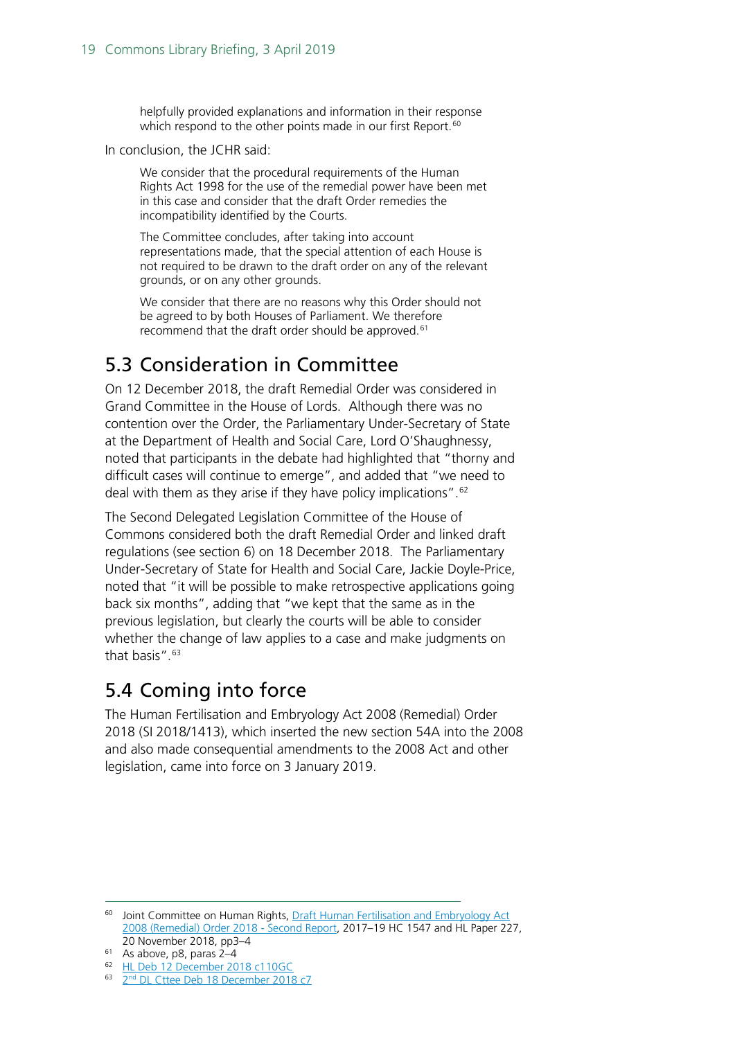helpfully provided explanations and information in their response which respond to the other points made in our first Report.<sup>[60](#page-18-2)</sup>

In conclusion, the JCHR said:

We consider that the procedural requirements of the Human Rights Act 1998 for the use of the remedial power have been met in this case and consider that the draft Order remedies the incompatibility identified by the Courts.

The Committee concludes, after taking into account representations made, that the special attention of each House is not required to be drawn to the draft order on any of the relevant grounds, or on any other grounds.

We consider that there are no reasons why this Order should not be agreed to by both Houses of Parliament. We therefore recommend that the draft order should be approved.<sup>[61](#page-18-3)</sup>

### <span id="page-18-0"></span>5.3 Consideration in Committee

On 12 December 2018, the draft Remedial Order was considered in Grand Committee in the House of Lords. Although there was no contention over the Order, the Parliamentary Under-Secretary of State at the Department of Health and Social Care, Lord O'Shaughnessy, noted that participants in the debate had highlighted that "thorny and difficult cases will continue to emerge", and added that "we need to deal with them as they arise if they have policy implications".<sup>[62](#page-18-4)</sup>

The Second Delegated Legislation Committee of the House of Commons considered both the draft Remedial Order and linked draft regulations (see section 6) on 18 December 2018. The Parliamentary Under-Secretary of State for Health and Social Care, Jackie Doyle-Price, noted that "it will be possible to make retrospective applications going back six months", adding that "we kept that the same as in the previous legislation, but clearly the courts will be able to consider whether the change of law applies to a case and make judgments on that basis". [63](#page-18-5)

### <span id="page-18-1"></span>5.4 Coming into force

The Human Fertilisation and Embryology Act 2008 (Remedial) Order 2018 (SI 2018/1413), which inserted the new section 54A into the 2008 and also made consequential amendments to the 2008 Act and other legislation, came into force on 3 January 2019.

<span id="page-18-2"></span><sup>&</sup>lt;sup>60</sup> Joint Committee on Human Rights, Draft Human Fertilisation and Embryology Act [2008 \(Remedial\) Order 2018 -](https://publications.parliament.uk/pa/jt201719/jtselect/jtrights/1547/1547.pdf) Second Report, 2017–19 HC 1547 and HL Paper 227, 20 November 2018, pp3–4

<span id="page-18-3"></span><sup>61</sup> As above, p8, paras 2–4

<span id="page-18-4"></span><sup>&</sup>lt;sup>62</sup> [HL Deb 12 December 2018 c110GC](https://hansard.parliament.uk/Lords/2018-12-12/debates/5548FE37-D360-49D5-9D69-631447B1CB3C/HumanFertilisationAndEmbryology(ParentalOrders)Regulations2018)<br><sup>63</sup> 2nd DL Cttoo Deb 18 December 2019

<span id="page-18-5"></span><sup>2&</sup>lt;sup>nd</sup> [DL Cttee Deb 18 December 2018 c7](https://hansard.parliament.uk/Commons/2018-12-18/debates/f769d37e-9cec-4e58-9d6c-1346627d81c9/DraftHumanFertilisationAndEmryologyAct2008(Remedial)Order2018DraftHumanFertilisationAndEmryology(ParentalOrders)Regulations2018)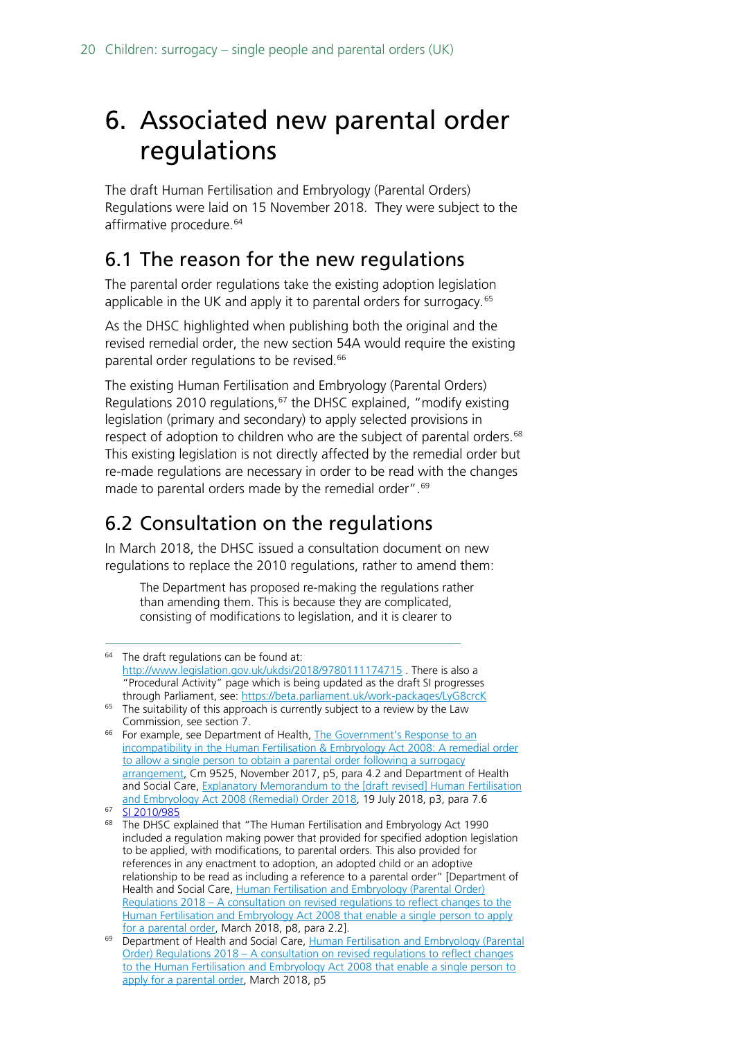## <span id="page-19-0"></span>6. Associated new parental order regulations

The draft Human Fertilisation and Embryology (Parental Orders) Regulations were laid on 15 November 2018. They were subject to the affirmative procedure.<sup>64</sup>

### <span id="page-19-1"></span>6.1 The reason for the new regulations

The parental order regulations take the existing adoption legislation applicable in the UK and apply it to parental orders for surrogacy.<sup>65</sup>

As the DHSC highlighted when publishing both the original and the revised remedial order, the new section 54A would require the existing parental order regulations to be revised.<sup>[66](#page-19-5)</sup>

The existing Human Fertilisation and Embryology (Parental Orders) Regulations 2010 regulations,  $67$  the DHSC explained, "modify existing legislation (primary and secondary) to apply selected provisions in respect of adoption to children who are the subject of parental orders.<sup>[68](#page-19-7)</sup> This existing legislation is not directly affected by the remedial order but re-made regulations are necessary in order to be read with the changes made to parental orders made by the remedial order".<sup>[69](#page-19-8)</sup>

### <span id="page-19-2"></span>6.2 Consultation on the regulations

In March 2018, the DHSC issued a consultation document on new regulations to replace the 2010 regulations, rather to amend them:

The Department has proposed re-making the regulations rather than amending them. This is because they are complicated, consisting of modifications to legislation, and it is clearer to

<span id="page-19-3"></span><sup>&</sup>lt;sup>64</sup> The draft regulations can be found at: <http://www.legislation.gov.uk/ukdsi/2018/9780111174715>. There is also a "Procedural Activity" page which is being updated as the draft SI progresses through Parliament, see:<https://beta.parliament.uk/work-packages/LyG8crcK>

<span id="page-19-4"></span> $65$  The suitability of this approach is currently subject to a review by the Law Commission, see section 7.

<span id="page-19-5"></span><sup>&</sup>lt;sup>66</sup> For example, see Department of Health, **The Government's Response to an** [incompatibility in the Human Fertilisation & Embryology Act 2008: A remedial order](https://www.gov.uk/government/uploads/system/uploads/attachment_data/file/664161/Command_paper_Cm_9525.pdf)  [to allow a single person to obtain a parental order following a surrogacy](https://www.gov.uk/government/uploads/system/uploads/attachment_data/file/664161/Command_paper_Cm_9525.pdf)  [arrangement,](https://www.gov.uk/government/uploads/system/uploads/attachment_data/file/664161/Command_paper_Cm_9525.pdf) Cm 9525, November 2017, p5, para 4.2 and Department of Health and Social Care, [Explanatory Memorandum to the \[draft](https://www.legislation.gov.uk/ukdsi/2018/9780111171660/pdfs/ukdsiem_9780111171660_en.pdf) revised] Human Fertilisation [and Embryology Act 2008 \(Remedial\) Order 2018,](https://www.legislation.gov.uk/ukdsi/2018/9780111171660/pdfs/ukdsiem_9780111171660_en.pdf) 19 July 2018, p3, para 7.6 67 [SI 2010/985](https://www.legislation.gov.uk/uksi/2010/985/contents/made)

<span id="page-19-6"></span>

<span id="page-19-7"></span><sup>68</sup> The DHSC explained that "The Human Fertilisation and Embryology Act 1990 included a regulation making power that provided for specified adoption legislation to be applied, with modifications, to parental orders. This also provided for references in any enactment to adoption, an adopted child or an adoptive relationship to be read as including a reference to a parental order" [Department of Health and Social Care, Human Fertilisation and Embryology (Parental Order) Regulations 2018 – [A consultation on revised regulations to reflect changes to the](https://assets.publishing.service.gov.uk/government/uploads/system/uploads/attachment_data/file/686188/consultation-document-human-fertilisation-and-embryology-parental-order-regulations-2018.pdf)  [Human Fertilisation and Embryology Act 2008 that enable a single person to apply](https://assets.publishing.service.gov.uk/government/uploads/system/uploads/attachment_data/file/686188/consultation-document-human-fertilisation-and-embryology-parental-order-regulations-2018.pdf)  [for a parental order,](https://assets.publishing.service.gov.uk/government/uploads/system/uploads/attachment_data/file/686188/consultation-document-human-fertilisation-and-embryology-parental-order-regulations-2018.pdf) March 2018, p8, para 2.2].

<span id="page-19-8"></span><sup>&</sup>lt;sup>69</sup> Department of Health and Social Care, Human Fertilisation and Embryology (Parental Order) Regulations 2018 – [A consultation on revised regulations to reflect changes](https://assets.publishing.service.gov.uk/government/uploads/system/uploads/attachment_data/file/686188/consultation-document-human-fertilisation-and-embryology-parental-order-regulations-2018.pdf)  [to the Human Fertilisation and Embryology Act 2008](https://assets.publishing.service.gov.uk/government/uploads/system/uploads/attachment_data/file/686188/consultation-document-human-fertilisation-and-embryology-parental-order-regulations-2018.pdf) that enable a single person to [apply for a parental order,](https://assets.publishing.service.gov.uk/government/uploads/system/uploads/attachment_data/file/686188/consultation-document-human-fertilisation-and-embryology-parental-order-regulations-2018.pdf) March 2018, p5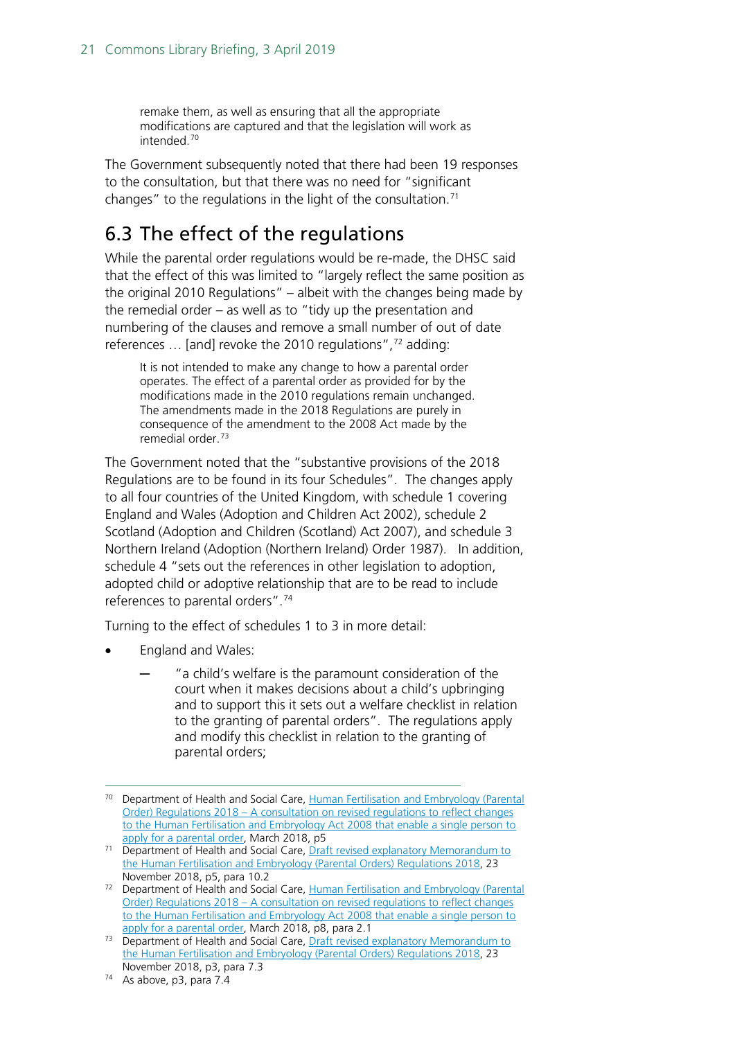remake them, as well as ensuring that all the appropriate modifications are captured and that the legislation will work as intended.[70](#page-20-1)

The Government subsequently noted that there had been 19 responses to the consultation, but that there was no need for "significant changes" to the regulations in the light of the consultation.<sup>[71](#page-20-2)</sup>

### <span id="page-20-0"></span>6.3 The effect of the regulations

While the parental order regulations would be re-made, the DHSC said that the effect of this was limited to "largely reflect the same position as the original 2010 Regulations" – albeit with the changes being made by the remedial order – as well as to "tidy up the presentation and numbering of the clauses and remove a small number of out of date references ... [and] revoke the 2010 regulations",<sup>[72](#page-20-3)</sup> adding:

It is not intended to make any change to how a parental order operates. The effect of a parental order as provided for by the modifications made in the 2010 regulations remain unchanged. The amendments made in the 2018 Regulations are purely in consequence of the amendment to the 2008 Act made by the remedial order.[73](#page-20-4)

The Government noted that the "substantive provisions of the 2018 Regulations are to be found in its four Schedules". The changes apply to all four countries of the United Kingdom, with schedule 1 covering England and Wales (Adoption and Children Act 2002), schedule 2 Scotland (Adoption and Children (Scotland) Act 2007), and schedule 3 Northern Ireland (Adoption (Northern Ireland) Order 1987). In addition, schedule 4 "sets out the references in other legislation to adoption, adopted child or adoptive relationship that are to be read to include references to parental orders".[74](#page-20-5)

Turning to the effect of schedules 1 to 3 in more detail:

- England and Wales:
	- ─ "a child's welfare is the paramount consideration of the court when it makes decisions about a child's upbringing and to support this it sets out a welfare checklist in relation to the granting of parental orders". The regulations apply and modify this checklist in relation to the granting of parental orders;

<span id="page-20-1"></span><sup>&</sup>lt;sup>70</sup> Department of Health and Social Care, Human Fertilisation and Embryology (Parental Order) Regulations 2018 – [A consultation on revised regulations to reflect changes](https://assets.publishing.service.gov.uk/government/uploads/system/uploads/attachment_data/file/686188/consultation-document-human-fertilisation-and-embryology-parental-order-regulations-2018.pdf)  [to the Human Fertilisation and Embryology Act 2008](https://assets.publishing.service.gov.uk/government/uploads/system/uploads/attachment_data/file/686188/consultation-document-human-fertilisation-and-embryology-parental-order-regulations-2018.pdf) that enable a single person to [apply for a parental order,](https://assets.publishing.service.gov.uk/government/uploads/system/uploads/attachment_data/file/686188/consultation-document-human-fertilisation-and-embryology-parental-order-regulations-2018.pdf) March 2018, p5

<span id="page-20-2"></span><sup>&</sup>lt;sup>71</sup> Department of Health and Social Care, **Draft revised explanatory Memorandum to** [the Human Fertilisation and Embryology \(Parental Orders\) Regulations 2018,](http://www.legislation.gov.uk/ukdsi/2018/9780111174715/pdfs/ukdsiem_9780111174715_en_001.pdf) 23 November 2018, p5, para 10.2<br><sup>72</sup> Department of Health and Social Care, Human Fertilisation and Embryology (Parental

<span id="page-20-3"></span>Order) Regulations 2018 – [A consultation on revised regulations to reflect changes](https://assets.publishing.service.gov.uk/government/uploads/system/uploads/attachment_data/file/686188/consultation-document-human-fertilisation-and-embryology-parental-order-regulations-2018.pdf)  [to the Human Fertilisation and Embryology Act 2008 that enable a single person to](https://assets.publishing.service.gov.uk/government/uploads/system/uploads/attachment_data/file/686188/consultation-document-human-fertilisation-and-embryology-parental-order-regulations-2018.pdf)  [apply for a parental order,](https://assets.publishing.service.gov.uk/government/uploads/system/uploads/attachment_data/file/686188/consultation-document-human-fertilisation-and-embryology-parental-order-regulations-2018.pdf) March 2018, p8, para 2.1

<span id="page-20-4"></span><sup>&</sup>lt;sup>73</sup> Department of Health and Social Care, **Draft revised explanatory Memorandum to** [the Human Fertilisation and Embryology \(Parental Orders\) Regulations 2018,](http://www.legislation.gov.uk/ukdsi/2018/9780111174715/pdfs/ukdsiem_9780111174715_en_001.pdf) 23 November 2018, p3, para 7.3

<span id="page-20-5"></span><sup>74</sup> As above, p3, para 7.4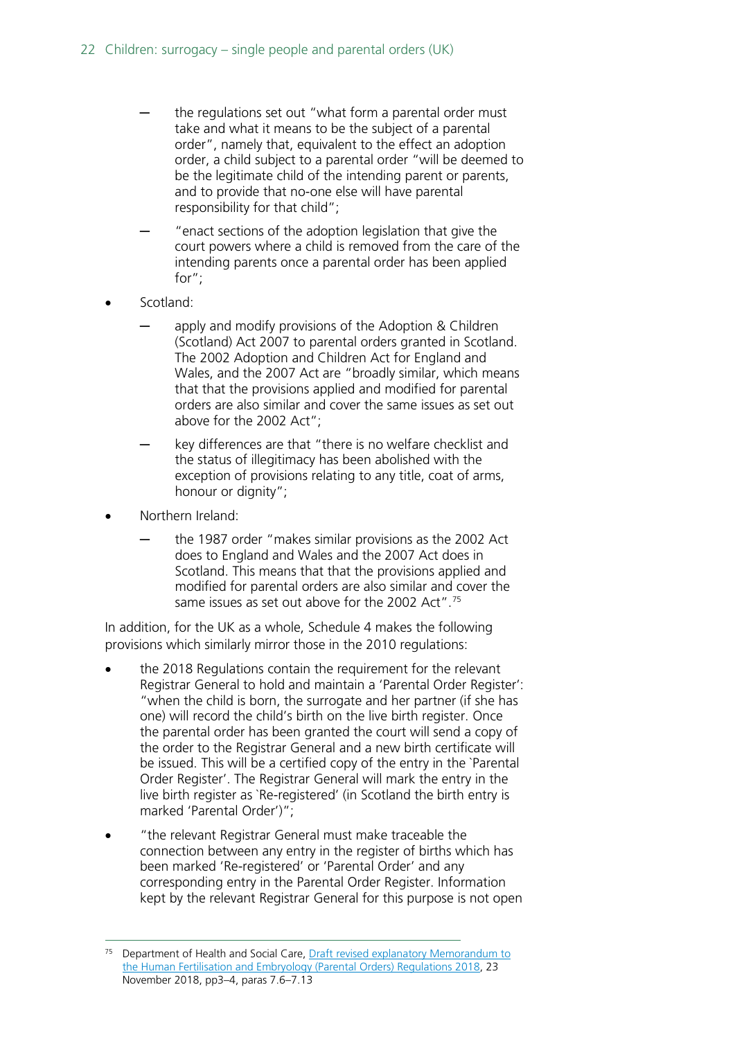- the regulations set out "what form a parental order must take and what it means to be the subject of a parental order", namely that, equivalent to the effect an adoption order, a child subject to a parental order "will be deemed to be the legitimate child of the intending parent or parents, and to provide that no-one else will have parental responsibility for that child";
- ─ "enact sections of the adoption legislation that give the court powers where a child is removed from the care of the intending parents once a parental order has been applied for";
- Scotland:
	- apply and modify provisions of the Adoption & Children (Scotland) Act 2007 to parental orders granted in Scotland. The 2002 Adoption and Children Act for England and Wales, and the 2007 Act are "broadly similar, which means that that the provisions applied and modified for parental orders are also similar and cover the same issues as set out above for the 2002 Act";
	- key differences are that "there is no welfare checklist and the status of illegitimacy has been abolished with the exception of provisions relating to any title, coat of arms, honour or dignity";
- Northern Ireland:
	- the 1987 order "makes similar provisions as the 2002 Act does to England and Wales and the 2007 Act does in Scotland. This means that that the provisions applied and modified for parental orders are also similar and cover the same issues as set out above for the 2002 Act".<sup>[75](#page-21-0)</sup>

In addition, for the UK as a whole, Schedule 4 makes the following provisions which similarly mirror those in the 2010 regulations:

- the 2018 Regulations contain the requirement for the relevant Registrar General to hold and maintain a 'Parental Order Register': "when the child is born, the surrogate and her partner (if she has one) will record the child's birth on the live birth register. Once the parental order has been granted the court will send a copy of the order to the Registrar General and a new birth certificate will be issued. This will be a certified copy of the entry in the `Parental Order Register'. The Registrar General will mark the entry in the live birth register as `Re-registered' (in Scotland the birth entry is marked 'Parental Order')";
- "the relevant Registrar General must make traceable the connection between any entry in the register of births which has been marked 'Re-registered' or 'Parental Order' and any corresponding entry in the Parental Order Register. Information kept by the relevant Registrar General for this purpose is not open

<span id="page-21-0"></span> <sup>75</sup> Department of Health and Social Care, [Draft revised explanatory Memorandum to](http://www.legislation.gov.uk/ukdsi/2018/9780111174715/pdfs/ukdsiem_9780111174715_en_001.pdf)  [the Human Fertilisation and Embryology \(Parental Orders\) Regulations 2018,](http://www.legislation.gov.uk/ukdsi/2018/9780111174715/pdfs/ukdsiem_9780111174715_en_001.pdf) 23 November 2018, pp3–4, paras 7.6–7.13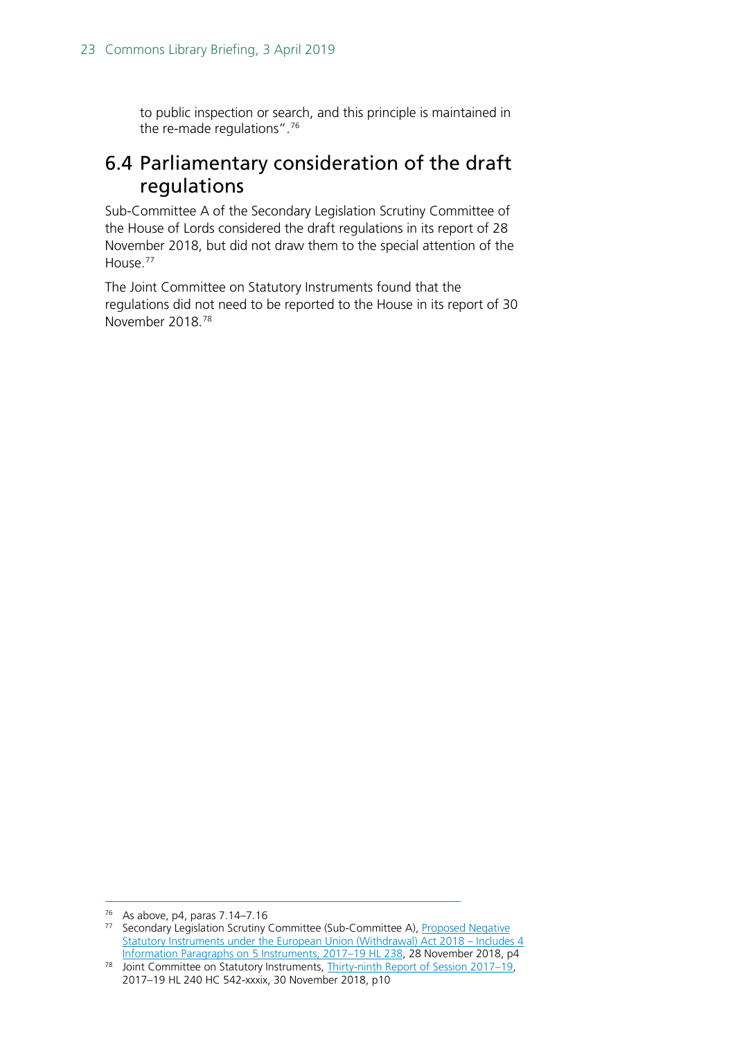to public inspection or search, and this principle is maintained in the re-made regulations".[76](#page-22-1)

### <span id="page-22-0"></span>6.4 Parliamentary consideration of the draft regulations

Sub-Committee A of the Secondary Legislation Scrutiny Committee of the House of Lords considered the draft regulations in its report of 28 November 2018, but did not draw them to the special attention of the House.<sup>[77](#page-22-2)</sup>

The Joint Committee on Statutory Instruments found that the regulations did not need to be reported to the House in its report of 30 November 2018.[78](#page-22-3)

<span id="page-22-1"></span> <sup>76</sup> As above, p4, paras 7.14–7.16

<span id="page-22-2"></span><sup>&</sup>lt;sup>77</sup> Secondary Legislation Scrutiny Committee (Sub-Committee A), Proposed Negative [Statutory Instruments under the European Union \(Withdrawal\) Act 2018 –](https://publications.parliament.uk/pa/ld201719/ldselect/ldseclega/238/238.pdf) Includes 4 [Information Paragraphs on 5 Instruments, 2017–19 HL 238,](https://publications.parliament.uk/pa/ld201719/ldselect/ldseclega/238/238.pdf) 28 November 2018, p4

<span id="page-22-3"></span><sup>78</sup> Joint Committee on Statutory Instruments, [Thirty-ninth Report of Session 2017–19,](https://publications.parliament.uk/pa/jt201719/jtselect/jtstatin/240/240.pdf) 2017–19 HL 240 HC 542-xxxix, 30 November 2018, p10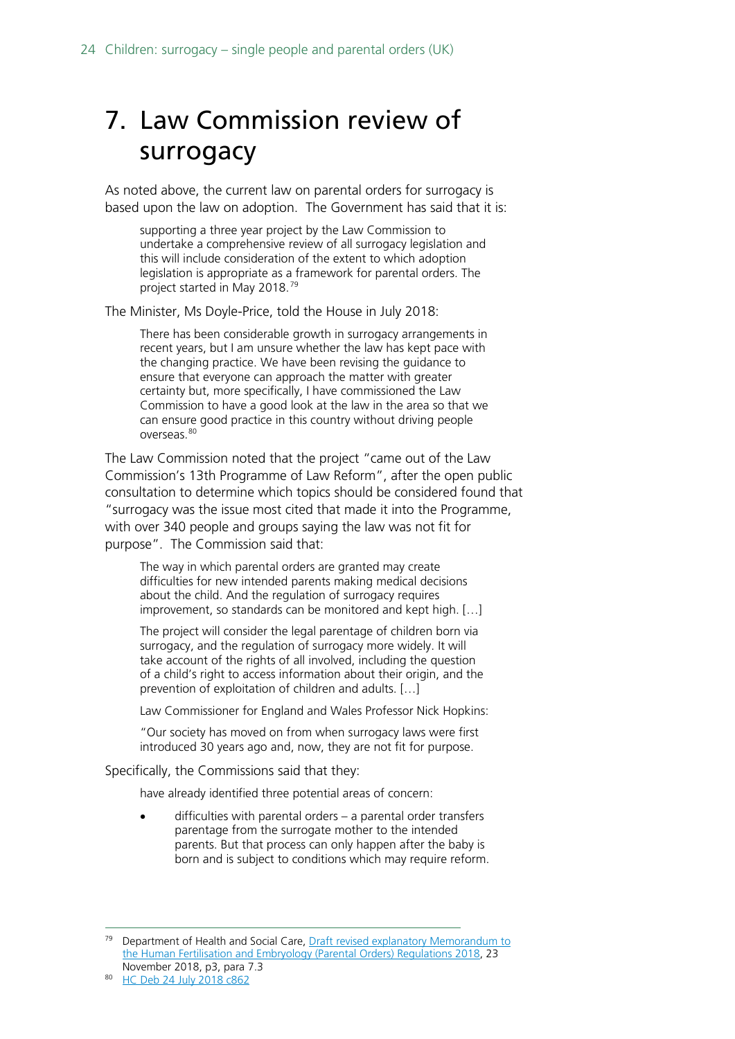## <span id="page-23-0"></span>7. Law Commission review of surrogacy

As noted above, the current law on parental orders for surrogacy is based upon the law on adoption. The Government has said that it is:

supporting a three year project by the Law Commission to undertake a comprehensive review of all surrogacy legislation and this will include consideration of the extent to which adoption legislation is appropriate as a framework for parental orders. The project started in May 2018.[79](#page-23-1)

The Minister, Ms Doyle-Price, told the House in July 2018:

There has been considerable growth in surrogacy arrangements in recent years, but I am unsure whether the law has kept pace with the changing practice. We have been revising the guidance to ensure that everyone can approach the matter with greater certainty but, more specifically, I have commissioned the Law Commission to have a good look at the law in the area so that we can ensure good practice in this country without driving people overseas.[80](#page-23-2)

The Law Commission noted that the project "came out of the Law Commission's 13th Programme of Law Reform", after the open public consultation to determine which topics should be considered found that "surrogacy was the issue most cited that made it into the Programme, with over 340 people and groups saying the law was not fit for purpose". The Commission said that:

The way in which parental orders are granted may create difficulties for new intended parents making medical decisions about the child. And the regulation of surrogacy requires improvement, so standards can be monitored and kept high. […]

The project will consider the legal parentage of children born via surrogacy, and the regulation of surrogacy more widely. It will take account of the rights of all involved, including the question of a child's right to access information about their origin, and the prevention of exploitation of children and adults. […]

Law Commissioner for England and Wales Professor Nick Hopkins:

"Our society has moved on from when surrogacy laws were first introduced 30 years ago and, now, they are not fit for purpose.

#### Specifically, the Commissions said that they:

have already identified three potential areas of concern:

difficulties with parental orders - a parental order transfers parentage from the surrogate mother to the intended parents. But that process can only happen after the baby is born and is subject to conditions which may require reform.

<span id="page-23-2"></span>80 [HC Deb 24 July 2018 c862](https://hansard.parliament.uk/Commons/2018-07-24/debates/ADFBD09D-AAC2-4DEC-91FC-4B23D2710B19/DraftHumanFertilisationAndEmbryologyAct2008(Remedial)Order)

<span id="page-23-1"></span>Department of Health and Social Care, [Draft revised explanatory](http://www.legislation.gov.uk/ukdsi/2018/9780111174715/pdfs/ukdsiem_9780111174715_en_001.pdf) Memorandum to [the Human Fertilisation and Embryology \(Parental Orders\) Regulations 2018,](http://www.legislation.gov.uk/ukdsi/2018/9780111174715/pdfs/ukdsiem_9780111174715_en_001.pdf) 23 November 2018, p3, para 7.3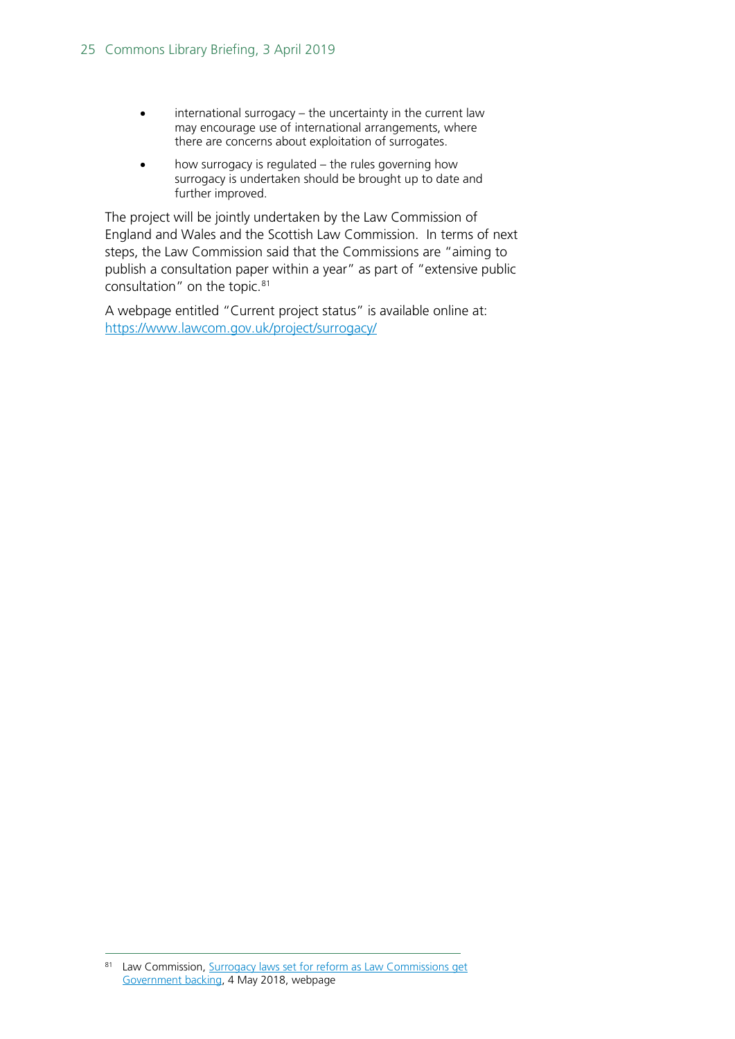- international surrogacy the uncertainty in the current law may encourage use of international arrangements, where there are concerns about exploitation of surrogates.
- how surrogacy is regulated  $-$  the rules governing how surrogacy is undertaken should be brought up to date and further improved.

The project will be jointly undertaken by the Law Commission of England and Wales and the Scottish Law Commission. In terms of next steps, the Law Commission said that the Commissions are "aiming to publish a consultation paper within a year" as part of "extensive public consultation" on the topic.<sup>[81](#page-24-0)</sup>

A webpage entitled "Current project status" is available online at: <https://www.lawcom.gov.uk/project/surrogacy/>

<span id="page-24-0"></span><sup>81</sup> Law Commission, Surrogacy laws set for reform as Law Commissions get [Government backing,](https://www.lawcom.gov.uk/surrogacy-laws-set-for-reform-as-law-commissions-get-government-backing/) 4 May 2018, webpage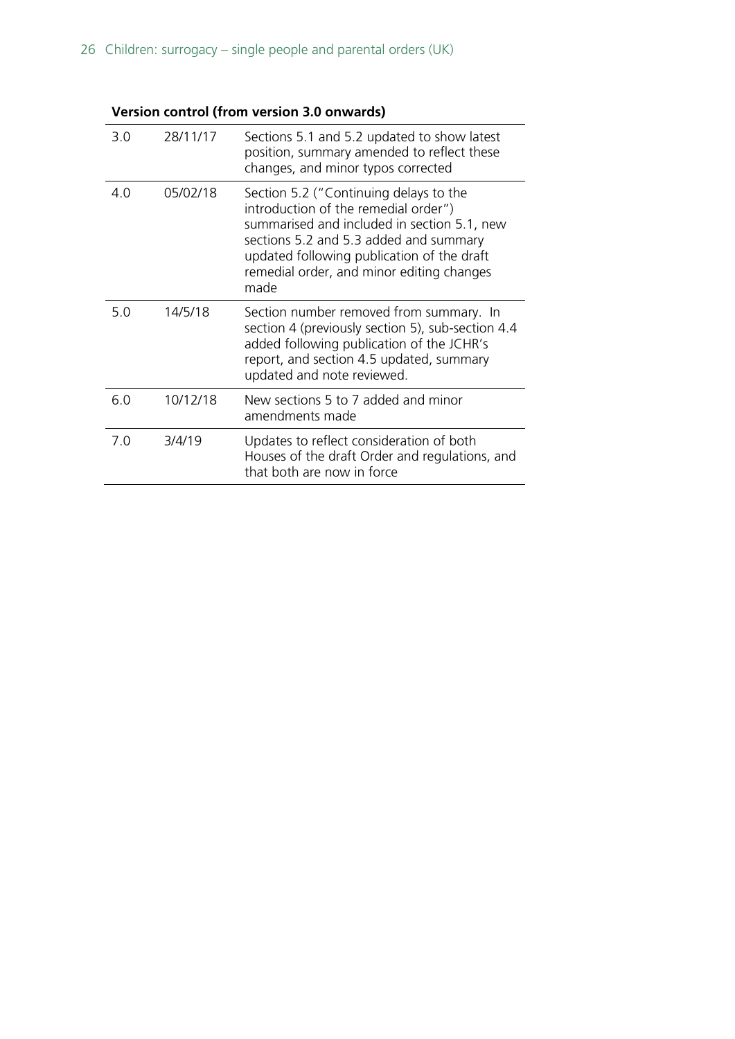### **Version control (from version 3.0 onwards)**

| 3.0 | 28/11/17 | Sections 5.1 and 5.2 updated to show latest<br>position, summary amended to reflect these<br>changes, and minor typos corrected                                                                                                                                            |
|-----|----------|----------------------------------------------------------------------------------------------------------------------------------------------------------------------------------------------------------------------------------------------------------------------------|
| 4.0 | 05/02/18 | Section 5.2 ("Continuing delays to the<br>introduction of the remedial order")<br>summarised and included in section 5.1, new<br>sections 5.2 and 5.3 added and summary<br>updated following publication of the draft<br>remedial order, and minor editing changes<br>made |
| 5.0 | 14/5/18  | Section number removed from summary. In<br>section 4 (previously section 5), sub-section 4.4<br>added following publication of the JCHR's<br>report, and section 4.5 updated, summary<br>updated and note reviewed.                                                        |
| 6.0 | 10/12/18 | New sections 5 to 7 added and minor<br>amendments made                                                                                                                                                                                                                     |
| 7.0 | 3/4/19   | Updates to reflect consideration of both<br>Houses of the draft Order and regulations, and<br>that both are now in force                                                                                                                                                   |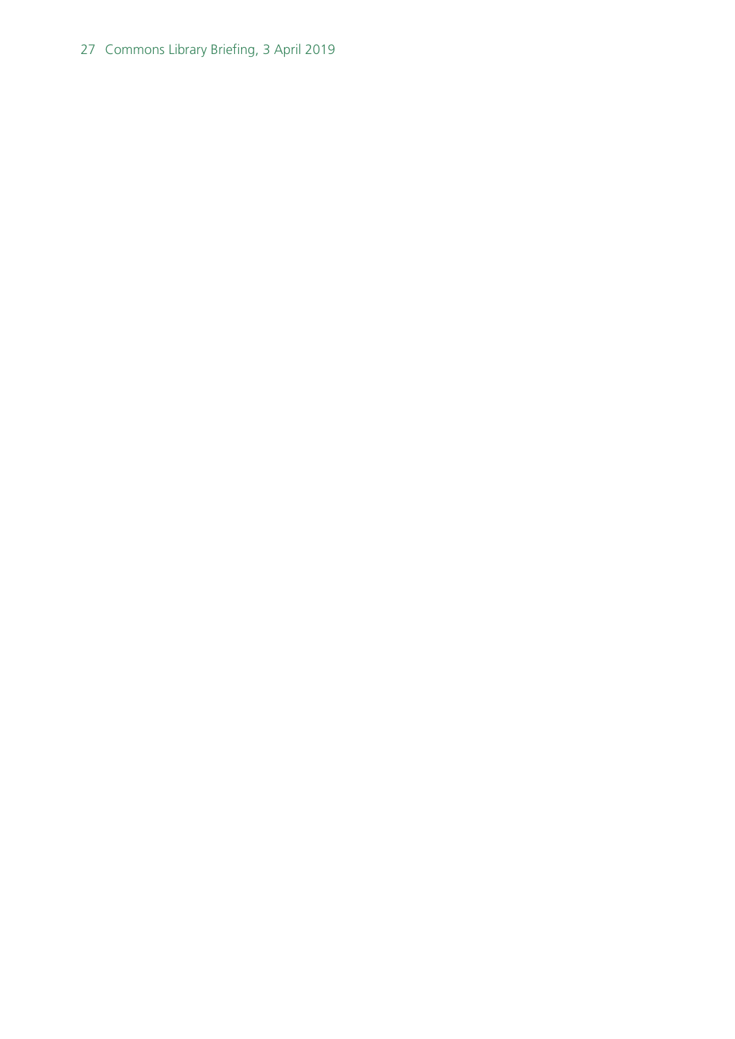### Commons Library Briefing, 3 April 2019